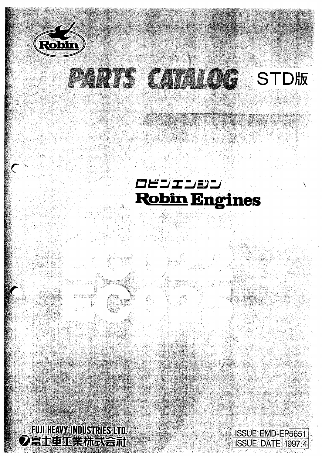

## **PARTS CALLOS**







STD版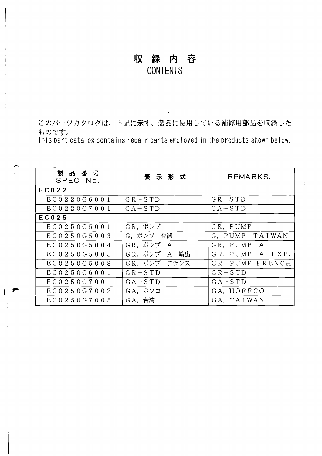### 収 録 内 容 **CONTENTS**

このパーツカタログは、下記に示す、製品に使用している補修用部品を収録した ものです。

This part catalog contains repair parts employed in the products shown below.

| 製品番号<br>SPEC No.      | 表示形式          | REMARKS.                       |
|-----------------------|---------------|--------------------------------|
| EC022                 |               |                                |
| EC0220G6001           | $GR - STD$    | $GR - STD$                     |
| EC0220G7001           | $G A - S T D$ | $G A - ST D$<br>$\sim 10^{-1}$ |
| <b>EC025</b>          |               |                                |
| E C 0 2 5 0 G 5 0 0 1 | GR, ポンプ       | GR, PUMP                       |
| EC0250G5003           | G, ポンプ 台湾     | G, PUMP TAIWAN                 |
| EC0250G5004           | GR, ポンプ A     | GR, PUMP<br>A                  |
| EC0250G5005           | GR, ポンプ A 輸出  | GR, PUMP A EXP.                |
| EC0250G5008           | GR, ポンプ フランス  | GR, PUMP FRENCH                |
| E C 0 2 5 0 G 6 0 0 1 | $GR - STD$    | $GR - STD$                     |
| EC0250G7001           | $G A - S T D$ | $G A - S T D$                  |
| EC0250G7002           | GA, ホフコ       | GA, HOFFCO                     |
| EC0250G7005           | GA, 台湾        | GA, TAIWAN                     |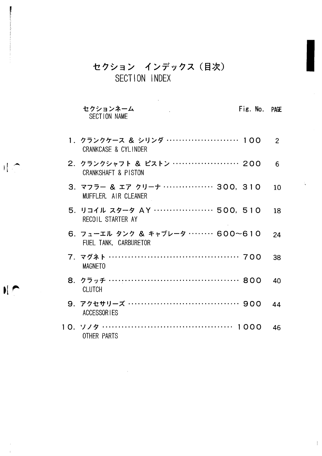## セクション インデックス (目次) SECTION INDEX

 $\mathbf{N}$ 

| セクションネーム<br>SECTION NAME                                   | Fig. No. PAGE |    |
|------------------------------------------------------------|---------------|----|
| 1. クランクケース & シリンダ ……………………… 100<br>CRANKCASE & CYLINDER    |               | 2  |
| 2. クランクシャフト & ピストン ………………… 200<br>CRANKSHAFT & PISTON      |               | 6  |
| 3. マフラー & エア クリーナ ……………… 300, 310<br>MUFFLER, AIR CLEANER  |               | 10 |
| 5. リコイル スタータ AY ………………… 500, 510<br>RECOIL STARTER AY      |               | 18 |
| 6. フューエル タンク & キャブレータ ……… 600~610<br>FUEL TANK. CARBURETOR |               | 24 |
| 7. マグネト ………………………………………… 700<br><b>MAGNETO</b>             |               | 38 |
| 8. クラッチ ………………………………………… 800<br><b>CLUTCH</b>              |               | 40 |
| 9. アクセサリーズ ………………………………… 900<br><b>ACCESSORIES</b>         |               | 44 |
| 10. ソノタ ………………………………………… 1000<br>OTHER PARTS               |               | 46 |

 $\parallel$ 

 $\mathcal{L}^{\text{max}}_{\text{max}}$  and  $\mathcal{L}^{\text{max}}_{\text{max}}$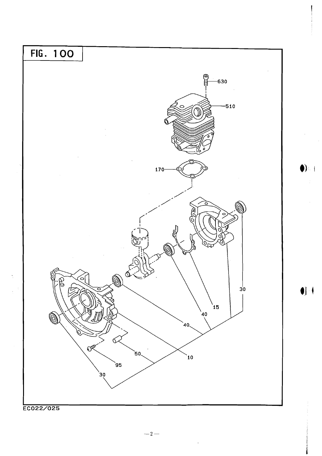

 $-2-$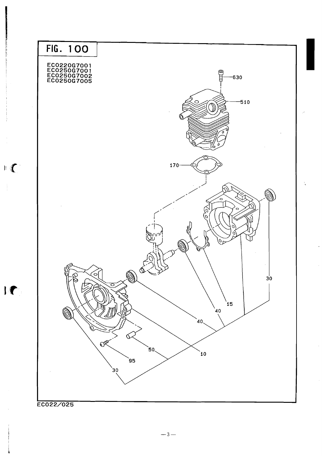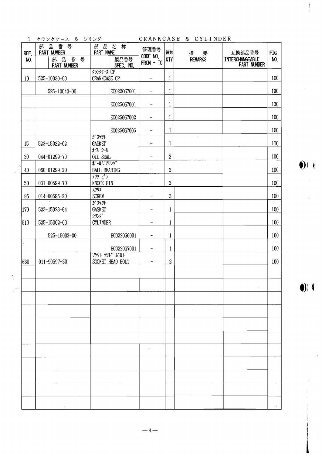| $\mathbf{1}$ | クランクケース & シリンダ                       |                                   | CRANKCASE                       |                  |                          | & CYLINDER                                             |             |  |
|--------------|--------------------------------------|-----------------------------------|---------------------------------|------------------|--------------------------|--------------------------------------------------------|-------------|--|
| REF.<br>NO.  | 品<br>部<br>番 号<br>PART NUMBER<br>部品番号 | 部 品<br>名 称<br>PART NAME<br>製品番号   | 管理番号<br>CODE NO.<br>$FROM - TO$ | 個数<br>QTY        | 摘<br>要<br><b>REMARKS</b> | 互换部品番号<br><b>INTERCHANGEABLE</b><br><b>PART NUMBER</b> | FIG.<br>NO. |  |
|              | PART NUMBER                          | SPEC. NO.<br>クランクケース CP           |                                 |                  |                          |                                                        |             |  |
| 10           | 525-10030-00                         | <b>CRANKCASE CP</b>               | $\overline{\phantom{a}}$        | $\mathbf{1}$     |                          |                                                        | 100         |  |
|              | $525 - 10040 - 00$                   | EC0220G7001                       | $\overline{\phantom{0}}$        | $\mathbf{1}$     |                          |                                                        | 100         |  |
|              |                                      | EC0250G7001                       | $\qquad \qquad -$               | $\mathbf{1}$     |                          |                                                        | 100         |  |
|              |                                      | EC0250G7002                       | $\qquad \qquad$                 | $\mathbf{1}$     |                          |                                                        | 100         |  |
| $\sim$       |                                      | EC0250G7005                       | $\overline{\phantom{0}}$        | $\mathbf{1}$     |                          |                                                        | 100         |  |
| 15           | 523-15022-02                         | <b>が スケツト</b><br>GASKET           | -                               | $\mathbf{1}$     | v.                       |                                                        | 100         |  |
| 30           | 044-01299-70                         | 机沙<br>OIL SEAL                    | $\equiv$                        | $\sqrt{2}$       |                          |                                                        | 100         |  |
| 40           | 060-01299-20                         | ボールヘアリング<br><b>BALL BEARING</b>   | $\qquad \qquad -$               | $\sqrt{2}$       |                          |                                                        | 100         |  |
| 50           | 031-00599-70                         | バクピン<br>KNOCK PIN                 |                                 | $\sqrt{2}$       |                          |                                                        | 100         |  |
|              |                                      | 72/17                             |                                 |                  |                          |                                                        |             |  |
| 95           | $014 - 00595 - 20$                   | <b>SCREW</b><br><b>ガスケツト</b>      | ÷                               | $\mathbf{3}$     |                          |                                                        | 100         |  |
| 170          | 523-15023-04                         | GASKET<br>シリンダ                    | -                               | $\mathbf{1}$     |                          |                                                        | 100         |  |
| 510          | 525-15002-00                         | <b>CYLINDER</b>                   | $\overline{\phantom{0}}$        | $\mathbf{1}$     |                          |                                                        | 100         |  |
|              | $525 - 15003 - 00$                   | EC0220G6001                       | $\overline{\phantom{0}}$        | $\mathbf{1}$     |                          |                                                        | 100         |  |
| k,           |                                      | EC0220G7001                       | $\qquad \qquad -$               | 1                |                          |                                                        | 100         |  |
| 630          | 011-90597-30                         | ソケツト ヘツト゛ ボルト<br>SOCKET HEAD BOLT | $\overline{\phantom{m}}$        | $\boldsymbol{2}$ |                          |                                                        | 100         |  |
|              |                                      |                                   |                                 |                  |                          |                                                        |             |  |
|              |                                      |                                   |                                 |                  |                          |                                                        |             |  |
|              |                                      |                                   |                                 |                  |                          |                                                        |             |  |
|              |                                      |                                   |                                 |                  |                          |                                                        |             |  |
|              |                                      |                                   |                                 |                  |                          |                                                        |             |  |
|              |                                      |                                   |                                 |                  |                          |                                                        |             |  |
|              |                                      |                                   |                                 |                  |                          |                                                        |             |  |
|              |                                      |                                   |                                 |                  |                          |                                                        |             |  |
|              |                                      |                                   |                                 |                  |                          |                                                        |             |  |
|              |                                      |                                   |                                 |                  |                          |                                                        |             |  |
|              |                                      |                                   |                                 |                  |                          |                                                        |             |  |
|              |                                      |                                   |                                 |                  |                          |                                                        |             |  |

 $\bigcirc$ 

 $\begin{array}{c} \frac{1}{2} \\ \frac{1}{2} \end{array}$ 

 $\bullet$ 

Communications and con-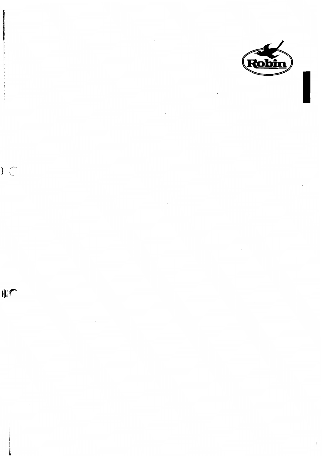

 $\mathbf{I}$ 

 $\frac{1}{2} \sum_{i=1}^n \frac{1}{2} \sum_{j=1}^n \frac{1}{2} \sum_{j=1}^n \frac{1}{2} \sum_{j=1}^n \frac{1}{2} \sum_{j=1}^n \frac{1}{2} \sum_{j=1}^n \frac{1}{2} \sum_{j=1}^n \frac{1}{2} \sum_{j=1}^n \frac{1}{2} \sum_{j=1}^n \frac{1}{2} \sum_{j=1}^n \frac{1}{2} \sum_{j=1}^n \frac{1}{2} \sum_{j=1}^n \frac{1}{2} \sum_{j=1}^n \frac{1}{2} \sum_{j=$  $\sim$ 

 $\big) \vdash \bigcirc$ 

 $)$ 

 $\mathcal{L}_{\mathcal{A}}$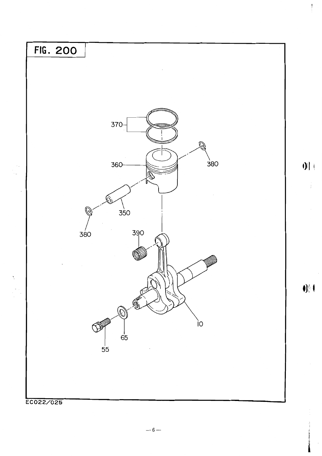

 $\frac{1}{2}$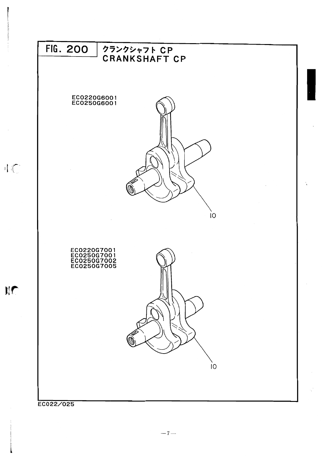![](_page_8_Figure_0.jpeg)

 $-7-$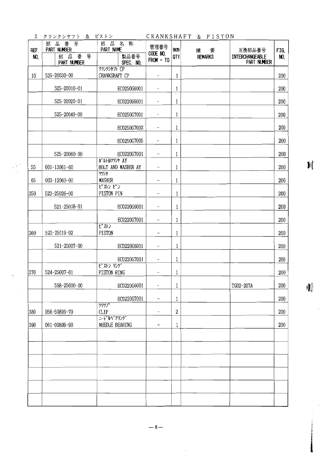| 2           | & ピストン<br>クランクシヤフト                        |                                |                          | CRANKSHAFT & PISTON     |                          |                                  |             |  |  |
|-------------|-------------------------------------------|--------------------------------|--------------------------|-------------------------|--------------------------|----------------------------------|-------------|--|--|
| REF.<br>NO. | 品番<br>部<br>号<br>PART NUMBER<br>番 号<br>部 品 | 部 品<br>名称<br>PART NAME<br>製品番号 | 管理番号<br>CODE NO.         | 個数<br>QTY               | 要<br>摘<br><b>REMARKS</b> | 互换部品番号<br><b>INTERCHANGEABLE</b> | FIG.<br>NO. |  |  |
|             | PART NUMBER                               | SPEC. NO.                      | $FROM - TO$              |                         |                          | PART NUMBER                      |             |  |  |
| 10          | 525-20030-00                              | クランクシャフト CP<br>CRANKSHAFT CP   | $\qquad \qquad -$        | $\mathbf{1}$            |                          |                                  | 200         |  |  |
|             | 525-20010-01                              | EC0250G6001                    | $\overline{\phantom{0}}$ | $\mathbf{1}$<br>$\cdot$ |                          |                                  | 200         |  |  |
|             | 525-20020-01                              | EC0220G6001                    | $\qquad \qquad -$        | 1                       |                          |                                  | 200         |  |  |
|             | 525-20040-00                              | EC0250G7001                    | $\qquad \qquad -$        | 1                       |                          |                                  | 200         |  |  |
|             |                                           | EC0250G7002                    | $\overline{\phantom{a}}$ | $\mathbf 1$             |                          | ×.                               | 200         |  |  |
|             |                                           | EC0250G7005                    | $\qquad \qquad -$        | $\mathbf{1}$            |                          |                                  | 200         |  |  |
|             | 525-20060-00                              | EC0220G7001<br>ボル&ワヅァ AY       | $\overline{\phantom{a}}$ | 1                       |                          |                                  | 200         |  |  |
| 55          | $001 - 13061 - 60$                        | BOLT AND WASHER AY<br>アリシヤ     | $\overline{\phantom{0}}$ | 1                       |                          |                                  | 200         |  |  |
| 65          | $003 - 12060 - 00$                        | <b>WASHER</b><br>ピストン ピン       |                          | 1                       |                          |                                  | 200         |  |  |
| 350         | $523 - 25026 - 00$                        | PISTON PIN                     |                          | 1                       |                          |                                  | 200         |  |  |
|             | $521 - 25008 - 01$                        | EC0220G6001                    | $\qquad \qquad -$        | 1                       |                          |                                  | 200         |  |  |
|             |                                           | EC0220G7001<br><b>ピスト</b> ン    | $\overline{\phantom{0}}$ | 1                       |                          |                                  | 200         |  |  |
| 360         | 523-25019-02                              | PISTON                         | $\overline{\phantom{m}}$ | $\mathbf{1}$            |                          |                                  | 200         |  |  |
|             | $521 - 25007 - 00$                        | EC0220G6001                    | $\qquad \qquad -$        | 1                       |                          |                                  | 200         |  |  |
|             |                                           | EC0220G7001<br>ピストン リング        | $\overline{\phantom{0}}$ | 1                       |                          |                                  | 200         |  |  |
| 370         | 524-25007-01                              | PISTON RING                    | $\qquad \qquad -$        | $\mathbf{1}$            |                          |                                  | 200         |  |  |
|             | 598-25000-00                              | EC0220G6001                    |                          | 1                       |                          | TG02-207A                        | 200         |  |  |
|             |                                           | EC0220G7001<br>クリツフ            | -                        | 1                       |                          |                                  | 200         |  |  |
| 380         | 056-50899-70                              | <b>CLIP</b><br>ニート゛ルヘ゛アリンク゛    | -                        | $\boldsymbol{2}$        |                          |                                  | 200         |  |  |
| 390         | 061-00899-90                              | NEEDLE BEARING                 |                          | 1                       |                          |                                  | 200         |  |  |
|             |                                           |                                |                          |                         |                          |                                  |             |  |  |
|             |                                           |                                | $\cdot$                  |                         |                          |                                  |             |  |  |
|             |                                           |                                |                          |                         |                          |                                  |             |  |  |
|             |                                           |                                |                          |                         |                          |                                  |             |  |  |
|             |                                           |                                |                          |                         |                          |                                  |             |  |  |
|             |                                           |                                |                          |                         |                          |                                  |             |  |  |

 $\left\Vert \mathbf{0}\right\Vert _{2}^{2}$ 

 $\textbf{y}$ 

 $\bar{z}$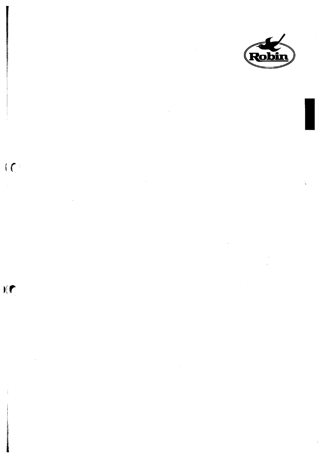## $\hat{\mathcal{A}}$

# $1C$

 $\bar{\bar{z}}$ 

# 顺

 $\frac{1}{4}$ 

 $\bar{\beta}$ 

![](_page_10_Picture_10.jpeg)

 $\bar{\mathcal{A}}$ 

 $\frac{1}{4}$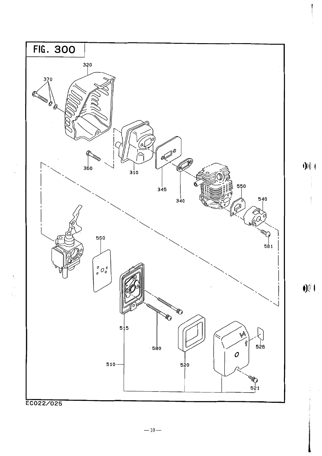![](_page_11_Figure_0.jpeg)

 $\ddot{\phantom{0}}$ 

 $\ddot{\phantom{0}}$  $\bar{\nabla}_\alpha$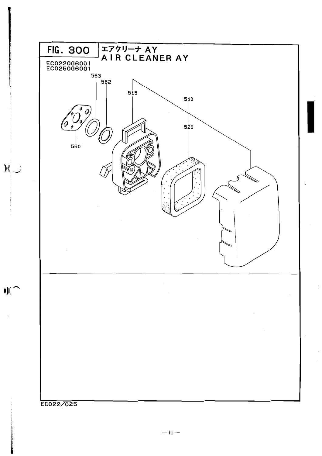![](_page_12_Figure_0.jpeg)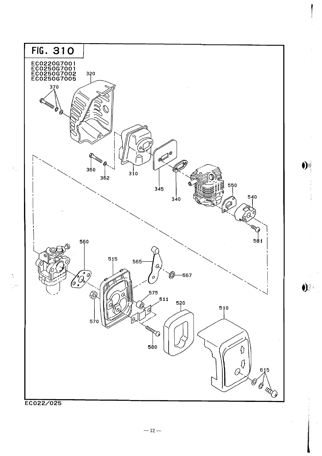![](_page_13_Figure_0.jpeg)

 $\bigoplus$ 

 $\mathbf{0}$ 

EC022/025

 $\ddot{\zeta}$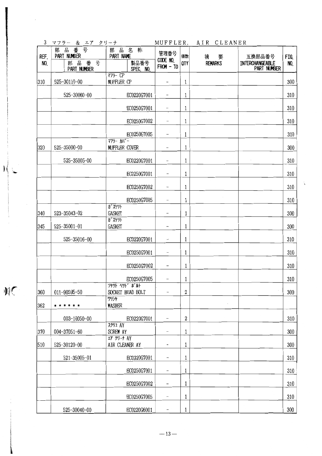| 3           | マフラー & エア クリーナ                                             |                                           | AIR CLEANER<br>MUFFLER,         |                  |                          |                           |             |
|-------------|------------------------------------------------------------|-------------------------------------------|---------------------------------|------------------|--------------------------|---------------------------|-------------|
| REF.<br>NO. | 品<br>番<br>号<br>部<br><b>PART NUMBER</b><br>号<br>品<br>番<br>部 | 品<br>称<br>部<br>名<br>PART NAME<br>製品番号     | 管理番号<br>CODE NO.<br>$FROM - TO$ | 個数<br>QTY        | 摘<br>要<br><b>REMARKS</b> | 互换部品番号<br>INTERCHANGEABLE | FIG.<br>NO. |
|             | <b>PART NUMBER</b>                                         | SPEC. NO.<br>$775 - CP$                   |                                 |                  |                          | PART NUMBER               |             |
| 310         | 525-30110-00                                               | <b>MUFFLER CP</b>                         | $\overline{\phantom{0}}$        | $\mathbf{1}$     |                          |                           | 300         |
|             | 525-30060-00                                               | EC0220G7001                               | $\overline{\phantom{0}}$        | 1                |                          |                           | 310         |
|             |                                                            | EC0250G7001                               | -                               | 1                |                          |                           | 310         |
|             |                                                            | EC0250G7002                               | -                               | $\mathbf{1}$     |                          |                           | 310         |
|             |                                                            | EC0250G7005                               | $\overline{\phantom{0}}$        | 1                |                          |                           | 310         |
| 320         | 525-35000-00                                               | マフラー カバー<br><b>MUFFLER COVER</b>          | $\overline{\phantom{0}}$        | 1                |                          |                           | 300         |
|             | 525-35005-00                                               | EC0220G7001                               |                                 | 1                |                          |                           | 310         |
|             |                                                            | EC0250G7001                               |                                 | 1                |                          |                           | 310         |
|             |                                                            | EC0250G7002                               |                                 | 1                |                          |                           | 310         |
|             |                                                            | EC0250G7005                               |                                 | 1                |                          |                           | 310         |
| 340         | 523-35043-02                                               | がスケツト<br><b>GASKET</b>                    |                                 | 1                |                          |                           | 300         |
| 345         | $525 - 35001 - 01$                                         | がスケツト<br><b>GASKET</b>                    |                                 | 1                |                          |                           | 300         |
|             | 525-35016-00                                               | EC0220G7001                               | -                               | $\mathbf 1$      |                          |                           | 310         |
|             |                                                            | EC0250G7001                               | -                               | 1                |                          |                           | 310         |
|             |                                                            | EC0250G7002                               | -                               | $\mathbf{1}$     |                          |                           | 310         |
|             |                                                            | EC0250G7005                               | -                               | 1                |                          |                           | 310         |
| 360         | $011 - 90595 - 50$                                         | ソケツト ヘツト゛ ボルト<br>SOCKET HEAD BOLT<br>アリシヤ |                                 | 2                |                          |                           | 300         |
| 362         | * * * * * *                                                | <b>WASHER</b>                             |                                 |                  |                          |                           |             |
|             | $003 - 10050 - 00$                                         | EC0220G7001<br>スクリュ AY                    | -                               | $\boldsymbol{2}$ |                          |                           | 310         |
| 370         | $004 - 37051 - 60$                                         | <b>SCREW AY</b>                           | $\overline{\phantom{0}}$        | $\mathbf{1}$     |                          |                           | 300         |
| 510         | 525-30120-00                                               | IT クリーナ AY<br>AIR CLEANER AY              |                                 | 1                |                          |                           | 300         |
|             | 521-35005-01                                               | EC0220G7001                               | $\overline{\phantom{a}}$        | $\mathbf{1}$     |                          |                           | 310         |
|             |                                                            | EC0250G7001                               |                                 | $\mathbf{1}$     |                          |                           | 310         |
|             |                                                            | EC0250G7002                               | -                               | $\mathbf{1}$     |                          |                           | 310         |
|             |                                                            | EC0250G7005                               | $\overline{\phantom{0}}$        | $\mathbf{1}$     |                          |                           | 310         |
|             | 525-30040-00                                               | EC0220G6001                               |                                 | $\mathbf{1}$     |                          |                           | 300         |

 $M$ 

N

 $\Delta \sim 10^4$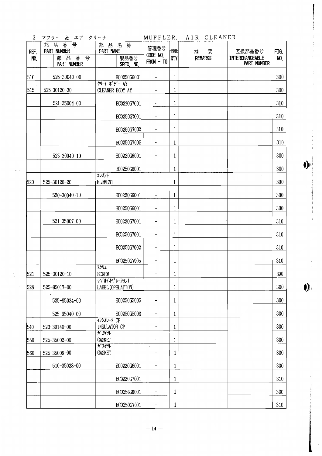| 3           | マフラー & エア クリーナ                                                  | MUFFLER, AIR CLEANER                   |                                 |              |                          |                                                        |             |
|-------------|-----------------------------------------------------------------|----------------------------------------|---------------------------------|--------------|--------------------------|--------------------------------------------------------|-------------|
| REF.<br>NO. | 号<br>部<br>品<br>番<br>PART NUMBER<br>番<br>号<br>部 品<br>PART NUMBER | 部品名称<br>PART NAME<br>製品番号<br>SPEC. NO. | 管理番号<br>CODE NO.<br>$FROM - TO$ | 個数<br>QTY    | 摘<br>要<br><b>REMARKS</b> | 互换部品番号<br><b>INTERCHANGEABLE</b><br><b>PART NUMBER</b> | FIG.<br>NO. |
| 510         | 525-30040-00                                                    | EC0250G6001                            | $\qquad \qquad -$               | $\mathbf{1}$ |                          |                                                        | 300         |
| 515         | 525-30120-30                                                    | クリーナ ボデー AY<br>CLEANER BODY AY         | $\qquad \qquad -$               | $\mathbf{1}$ |                          |                                                        | 300         |
|             | 521-35004-00                                                    | EC0220G7001                            | $\qquad \qquad -$               | 1            |                          |                                                        | 310         |
|             |                                                                 | EC0250G7001                            | $\qquad \qquad -$               | 1            |                          |                                                        | 310         |
|             |                                                                 | EC0250G7002                            | $\overline{\phantom{0}}$        | $\mathbf{1}$ |                          |                                                        | 310         |
|             |                                                                 | EC0250G7005                            | $\overline{\phantom{a}}$        | $\mathbf{1}$ |                          |                                                        | 310         |
|             | $525 - 30040 - 10$                                              | EC0220G6001                            |                                 | $\mathbf{1}$ |                          |                                                        | 300         |
|             |                                                                 | EC0250G6001                            | -                               | $\mathbf{1}$ |                          |                                                        | 300         |
| 520         | $525 - 30120 - 20$                                              | エレメント<br><b>ELEMENT</b>                | $\overline{\phantom{0}}$        | $\mathbf{1}$ |                          |                                                        | 300         |
|             | $520 - 30040 - 10$                                              | EC0220G6001                            |                                 | $\mathbf{1}$ |                          |                                                        | 300         |
|             |                                                                 | EC0250G6001                            | -                               | 1            |                          |                                                        | 300         |
|             | 521-35007-00                                                    | EC0220G7001                            | -                               | 1            |                          |                                                        | 310         |
|             |                                                                 | EC0250G7001                            | $\qquad \qquad -$               | 1            |                          |                                                        | 310         |
|             |                                                                 | EC0250G7002                            | $\qquad \qquad -$               | $\mathbf{1}$ |                          |                                                        | 310         |
|             |                                                                 | EC0250G7005                            | $\overline{\phantom{a}}$        | 1            |                          |                                                        | 310         |
| 521         | $525 - 30120 - 10$                                              | スクリユ<br><b>SCREW</b>                   | $\overline{\phantom{0}}$        | 1            |                          |                                                        | 300         |
| 528         | 525-95017-00                                                    | ラヘ゛ル(オヘ°レーシヨン)<br>LABEL (OPELATION)    | -                               | 1            |                          |                                                        | 300         |
|             | 525-95034-00                                                    | EC0250G5005                            | -                               | 1            |                          |                                                        | 300         |
|             | 525-95040-00                                                    | EC0250G5008                            | $\qquad \qquad -$               | 1            |                          |                                                        | 300         |
| 540         | 523-30140-00                                                    | インシュレータ CP<br>INSULATOR CP             | -                               | 1            |                          |                                                        | 300         |
| 550         | 525-35002-00                                                    | がスケツト<br>GASKET                        | $\overline{\phantom{0}}$        | $\mathbf{1}$ |                          |                                                        | 300         |
| 560         | 525-35009-00                                                    | <b>がぶサル</b><br>GASKET                  | $\cdot$<br>$\qquad \qquad -$    | 1            |                          |                                                        | 300         |
|             | 510-35028-00                                                    | EC0220G6001                            | -                               | 1            |                          |                                                        | 300         |
|             |                                                                 | EC0220G7001                            | $\overline{\phantom{a}}$        | 1            |                          |                                                        | 310         |
|             |                                                                 | EC0250G6001                            | -                               | 1            |                          |                                                        | 300         |
|             |                                                                 | EC0250G7001                            | -                               | 1            |                          |                                                        | 310         |

 $\bullet$ 

 $\sim$ The statement **Contract State** 

 $\bigcup$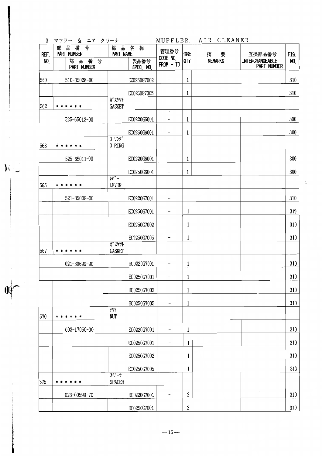3 マフラー & エア クリーナ MUFFLER, AIR CLEANER

 $\mathcal{M}$ 

| REF. | 品<br>号<br>部<br>番<br><b>PART NUMBER</b> | 品 名<br>称<br>部<br><b>PART NAME</b>          | 管理番号<br>CODE NO.  | 個数                       | 摘<br>要           | 互换部品番号         | FIG.                                         |     |
|------|----------------------------------------|--------------------------------------------|-------------------|--------------------------|------------------|----------------|----------------------------------------------|-----|
| NO.  | 品<br>番<br>号<br>部<br>PART NUMBER        |                                            | 製品番号<br>SPEC. NO. | $FROM - TO$              | QTY              | <b>REMARKS</b> | <b>INTERCHANGEABLE</b><br><b>PART NUMBER</b> | NO. |
| 560  | 510-35028-00                           |                                            | EC0250G7002       | $\qquad \qquad -$        | 1                |                |                                              | 310 |
|      |                                        |                                            | EC0250G7005       | $\overline{\phantom{0}}$ | $\mathbf{1}$     |                |                                              | 310 |
| 562  |                                        | がスケツト<br><b>GASKET</b>                     |                   |                          |                  |                |                                              |     |
|      | 525-65012-00                           |                                            | EC0220G6001       | $\cdot$<br>-             | $\mathbf{1}$     |                |                                              | 300 |
|      |                                        |                                            | EC0250G6001       | $\qquad \qquad -$        | 1                |                |                                              | 300 |
| 563  | * * * * * *                            | $0 \frac{1}{2}$<br>O RING                  |                   |                          |                  |                |                                              |     |
|      | 525-65011-00                           |                                            | EC0220G6001       | $\qquad \qquad -$        | $\mathbf{1}$     |                |                                              | 300 |
|      |                                        |                                            | EC0250G6001       | -                        | $\mathbf{1}$     |                |                                              | 300 |
| 565  | * * * * * *                            | $\nu$ <sup>-</sup><br><b>LEVER</b>         |                   |                          |                  |                |                                              |     |
|      | 521-35009-00                           |                                            | EC0220G7001       | $\overline{\phantom{0}}$ | $\mathbf{1}$     |                |                                              | 310 |
|      |                                        |                                            | EC0250G7001       | $\overline{\phantom{a}}$ | 1                |                |                                              | 310 |
|      |                                        |                                            | EC0250G7002       | -                        | $\mathbf{1}$     |                |                                              | 310 |
|      |                                        |                                            | EC0250G7005       |                          | $\mathbf{1}$     |                |                                              | 310 |
| 567  | * * * * * *                            | がスケツト<br><b>GASKET</b>                     |                   |                          |                  |                |                                              |     |
|      | 021-30699-90                           |                                            | EC0220G7001       | $\overline{\phantom{0}}$ | 1                |                |                                              | 310 |
|      |                                        |                                            | EC0250G7001       | $\qquad \qquad -$        | $\mathbf{1}$     |                |                                              | 310 |
|      |                                        |                                            | EC0250G7002       | $\overline{\phantom{a}}$ | $\mathbf{1}$     |                |                                              | 310 |
|      |                                        |                                            | EC0250G7005       | $\qquad \qquad -$        | 1                |                |                                              | 310 |
| 570  | * * * * * *                            | 抄<br>NUT                                   |                   |                          |                  |                |                                              |     |
|      | $002 - 17050 - 00$                     |                                            | EC0220G7001       | $\overline{\phantom{a}}$ | $\mathbf{1}$     |                |                                              | 310 |
|      |                                        |                                            | EC0250G7001       | $\qquad \qquad -$        | 1                |                |                                              | 310 |
|      |                                        |                                            | EC0250G7002       | $\overline{\phantom{a}}$ | 1                |                |                                              | 310 |
|      |                                        |                                            | EC0250G7005       |                          | 1                |                |                                              | 310 |
| 575  | $* *$<br>*                             | $\overline{X^{\prime}-1}$<br><b>SPACER</b> |                   |                          |                  |                |                                              |     |
|      | 023-00599-70                           |                                            | EC0220G7001       | $\qquad \qquad -$        | $\boldsymbol{2}$ |                |                                              | 310 |
|      |                                        |                                            | EC0250G7001       | -                        | $\rm{2}$         |                |                                              | 310 |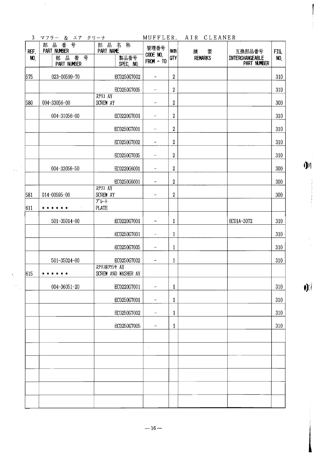| 3           | マフラー & エア クリーナ                          |                                            | MUFFLER,                        |                  | AIR CLEANER              |                           |             |
|-------------|-----------------------------------------|--------------------------------------------|---------------------------------|------------------|--------------------------|---------------------------|-------------|
| REF.<br>NO. | 品<br>番<br>号<br>部<br>PART NUMBER<br>部品番号 | 品名称<br>部<br>PART NAME<br>製品番号              | 管理番号<br>CODE NO.<br>$FROM - TO$ | 個数<br>QTY        | 要<br>摘<br><b>REMARKS</b> | 互换部品番号<br>INTERCHANGEABLE | FIG.<br>NO. |
|             | PART NUMBER                             | SPEC. NO.                                  |                                 |                  |                          | <b>PART NUMBER</b>        |             |
| 575         | 023-00599-70                            | EC0250G7002                                | $\overline{\phantom{0}}$        | $\boldsymbol{2}$ |                          |                           | 310         |
|             |                                         | EC0250G7005                                | -                               | $\sqrt{2}$       |                          |                           | 310         |
| 580         | $004 - 33056 - 00$                      | $77/17$ AY<br>SCREW AY                     | $\overline{\phantom{0}}$        | $\boldsymbol{2}$ |                          |                           | 300         |
|             | 004-31056-00                            | EC0220G7001                                | $\qquad \qquad -$               | $\rm{2}$         |                          |                           | 310         |
|             |                                         | EC0250G7001                                | $\overline{\phantom{a}}$        | $\boldsymbol{2}$ |                          |                           | 310         |
|             |                                         | EC0250G7002                                | $\overline{\phantom{a}}$        | $\boldsymbol{2}$ |                          |                           | 310         |
|             |                                         | EC0250G7005                                | $\qquad \qquad -$               | $\boldsymbol{2}$ |                          |                           | 310         |
|             | 004-33056-50                            | EC0220G6001                                | -                               | $\boldsymbol{2}$ |                          |                           | 300         |
|             |                                         | EC0250G6001                                | --                              | $\boldsymbol{2}$ |                          |                           | 300         |
| 581         | 014-00595-00                            | スクリュ AY<br>SCREW AY                        |                                 | $\boldsymbol{2}$ |                          |                           | 300         |
| 611         | * * * * * *                             | $7°$ $\nu$ - $\vdash$<br><b>PLATE</b>      |                                 |                  |                          |                           |             |
|             | $501 - 35014 - 00$                      | EC0220G7001                                | -                               | $\mathbf{1}$     |                          | EC01A-3072                | 310         |
|             |                                         | EC0250G7001                                | $\overline{\phantom{0}}$        | $\mathbf{1}$     |                          |                           | 310         |
|             |                                         | EC0250G7005                                | $\overline{\phantom{0}}$        | $\mathbf{1}$     |                          |                           | 310         |
|             | $501 - 35024 - 00$                      | EC0250G7002                                | -                               | $\mathbf{1}$     |                          |                           | 310         |
| 615         | * * * * * *                             | <b>777187777 AY</b><br>SCREW AND WASHER AY |                                 |                  |                          |                           |             |
|             | $004 - 36051 - 20$                      | EC0220G7001                                | $\overline{\phantom{0}}$        | 1                |                          |                           | 310         |
|             |                                         | EC0250G7001                                | -                               | 1                |                          |                           | 310         |
|             |                                         | EC0250G7002                                | -                               | $\mathbf{1}$     |                          |                           | 310         |
|             |                                         | EC0250G7005                                | $\overline{\phantom{a}}$        | $\mathbf{1}$     |                          |                           | 310         |
|             |                                         |                                            |                                 |                  |                          |                           |             |
|             |                                         |                                            | $\cdot$                         |                  |                          |                           |             |
|             |                                         |                                            |                                 |                  |                          |                           |             |
|             |                                         |                                            |                                 |                  |                          |                           |             |
|             |                                         |                                            |                                 |                  |                          |                           |             |
|             |                                         |                                            |                                 |                  |                          |                           |             |

 $\mathbf{O}$ 

of the photographs of an analysis of

 $\mathbf{M}$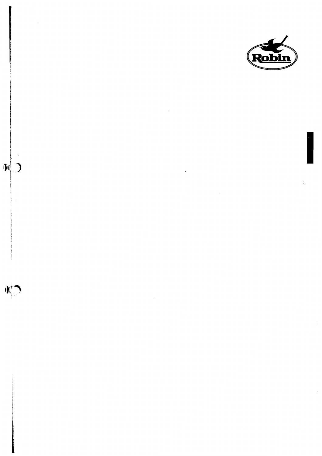![](_page_18_Picture_0.jpeg)

 $\overline{\phantom{a}}$ 

 $\begin{picture}(20,20) \put(0,0){\line(1,0){10}} \put(15,0){\line(1,0){10}} \put(15,0){\line(1,0){10}} \put(15,0){\line(1,0){10}} \put(15,0){\line(1,0){10}} \put(15,0){\line(1,0){10}} \put(15,0){\line(1,0){10}} \put(15,0){\line(1,0){10}} \put(15,0){\line(1,0){10}} \put(15,0){\line(1,0){10}} \put(15,0){\line(1,0){10}} \put(15,0){\line(1$ 

 $\overline{\phantom{a}}$ 

 $\sum_{i=1}^{n} \sum_{j=1}^{n}$ 

 $\bar{\mathcal{L}}$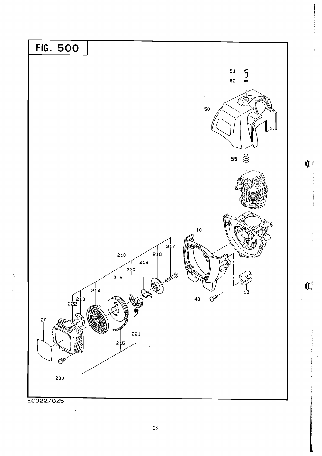![](_page_19_Figure_0.jpeg)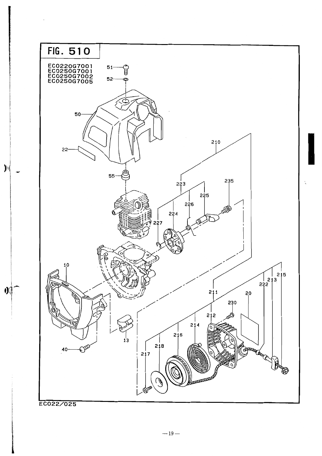![](_page_20_Figure_0.jpeg)

 $\int d\vec{q}$ 

 $\mathbf{0}$ 

 $-19-$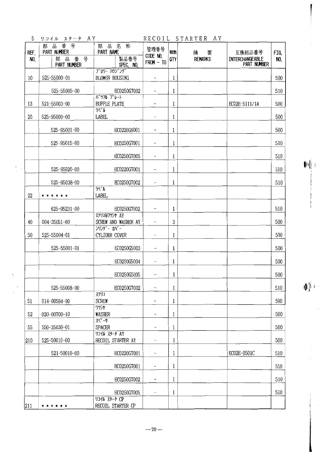| 5           | リコイル スタータ AY                |                                                                    |                                 |              | RECOIL STARTER AY        |                           |             |
|-------------|-----------------------------|--------------------------------------------------------------------|---------------------------------|--------------|--------------------------|---------------------------|-------------|
| REF.<br>NO. | 部品番号<br>PART NUMBER<br>部品番号 | 部品名称<br>PART NAME<br>製品番号                                          | 管理番号<br>CODE NO.<br>$FROM - TO$ | 個数<br>QTY    | 摘<br>要<br><b>REMARKS</b> | 互换部品番号<br>INTERCHANGEABLE | FIG.<br>NO. |
|             | PART NUMBER                 | SPEC. NO.<br><u>דעל יאוד - תון</u>                                 |                                 |              |                          | PART NUMBER               |             |
| 10          | 525-55000-01                | <b>BLOWER HOUSING</b>                                              |                                 | 1            |                          |                           | 500         |
|             | 525-55005-00                | EC0250G7002                                                        |                                 | 1            |                          |                           | 510         |
| 13          | 521-55003-00                | バツフル プレート<br><b>BUFFLE PLATE</b>                                   | $\overline{a}$                  | 1            |                          | EC02E-5111/1A             | 500         |
| 20          | 525-95000-00                | ラペル<br>LABEL                                                       |                                 | 1            |                          |                           | 500         |
|             | $525 - 95001 - 00$          | EC0220G6001                                                        |                                 | 1            |                          |                           | 500         |
|             | 525-95015-00                | EC0250G7001                                                        | $\overline{\phantom{0}}$        | 1            |                          |                           | 510         |
|             |                             | EC0250G7005                                                        | $\overline{\phantom{0}}$        | 1            |                          |                           | 510         |
|             | 525-95020-00                | EC0220G7001                                                        |                                 | 1            |                          |                           | 510         |
|             | 525-95038-00                | EC0250G7002                                                        | $\qquad \qquad -$               | 1            |                          |                           | 510         |
| 22          | * * * * * *                 | ラバル<br>LABEL                                                       |                                 |              |                          |                           |             |
|             | 625-95231-00                | EC0250G7002                                                        |                                 | 1            |                          |                           | 510         |
| 40          | $004 - 35051 - 60$          | <b>スクリユ&amp;アヅナ AY</b><br>SCREW AND WASHER AY                      |                                 | 3            | $\sim$                   |                           | 500         |
| 50          | 525-55004-01                | シリンダー カバー<br><b>CYLIDER COVER</b>                                  | $\overline{\phantom{0}}$        | 1            |                          |                           | 500         |
|             | 525-55001-01                | EC0250G5003                                                        | $\overline{\phantom{0}}$        | $\mathbf{1}$ |                          |                           | 500         |
|             |                             | EC0250G5004                                                        | $\overline{\phantom{a}}$        | 1            |                          |                           | 500         |
|             |                             | EC0250G5005                                                        |                                 | $\mathbf{1}$ |                          |                           | 500         |
|             | 525-55008-00                | EC0250G7002                                                        | $\overline{\phantom{0}}$        | 1            |                          |                           | 510         |
| 51          | 014-00594-90                | 77)1<br><b>SCREW</b>                                               |                                 | 1            |                          |                           | 500         |
| 52          | $020 - 00700 - 10$          | ワリッヤ<br><b>WASHER</b>                                              |                                 | 1            |                          |                           | 500         |
| 55          | 550-35030-01                | $\overline{\lambda\Lambda^{\circ}-\frac{\pi}{2}}$<br><b>SPACER</b> |                                 | 1            |                          |                           | 500         |
| 210         | 525-50010-00                | リコイル スタータ AY<br>RECOIL STARTER AY                                  |                                 | 1            |                          |                           | 500         |
|             | 521-50010-00                | EC0220G7001                                                        |                                 | 1            |                          | EC02E-0501C               | 510         |
|             |                             | EC0250G7001                                                        | $\qquad \qquad -$               | 1            |                          |                           | 510         |
|             |                             | EC0250G7002                                                        |                                 | 1            |                          |                           | 510         |
|             |                             | EC0250G7005                                                        |                                 | 1            |                          |                           | 510         |
| 211         | * * * * * *                 | リコイル スタータ CP<br>RECOIL STARTER CP                                  |                                 |              |                          |                           |             |

 $\mathbb{N}$ 

 $\left\| \psi \right\|$  ).

 $-20-$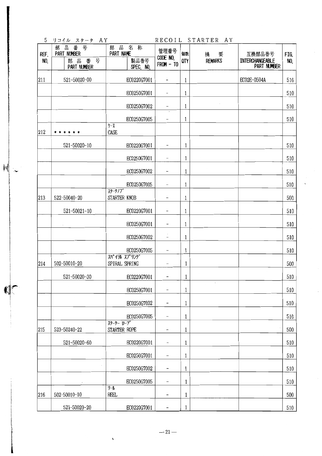|  | コイル スタータ AY |  |
|--|-------------|--|
|  |             |  |

 $)$  if

 $\mathbb{C}$ 

| 5           | リコイル スタータ AY                                                  |                                                 |                                            |              | RECOIL STARTER AY        |                                                 |             |
|-------------|---------------------------------------------------------------|-------------------------------------------------|--------------------------------------------|--------------|--------------------------|-------------------------------------------------|-------------|
| REF.<br>NO. | 品<br>番<br>号<br>部<br>PART NUMBER<br>部品番号<br><b>PART NUMBER</b> | 品 名<br>称<br>部<br>PART NAME<br>製品番号<br>SPEC. NO. | 管理番号<br>CODE NO.<br>$FROM - TO$            | 個数<br>QTY    | 摘<br>要<br><b>REMARKS</b> | 互换部品番号<br><b>INTERCHANGEABLE</b><br>PART NUMBER | FIG.<br>NO. |
| 211         | 521-50020-00                                                  | EC0220G7001                                     | $\overline{\phantom{a}}$                   | $\mathbf{1}$ |                          | EC02E-0504A                                     | 510         |
|             |                                                               | EC0250G7001                                     | $\overline{\phantom{a}}$                   | $\mathbf{1}$ |                          |                                                 | 510         |
|             |                                                               | EC0250G7002                                     |                                            | $\mathbf{1}$ |                          |                                                 | 510         |
|             |                                                               | EC0250G7005                                     |                                            | 1            |                          |                                                 | 510         |
| 212         | * * * * * *                                                   | ケース<br>CASE                                     |                                            |              |                          |                                                 |             |
|             | 521-50020-10                                                  | EC0220G7001                                     |                                            | $\mathbf{1}$ |                          |                                                 | 510         |
|             |                                                               | EC0250G7001                                     | $\bar{}$                                   | $\mathbf{1}$ |                          |                                                 | 510         |
|             |                                                               | EC0250G7002                                     | -                                          | 1            |                          |                                                 | 510         |
|             |                                                               | EC0250G7005                                     | $\overline{\phantom{0}}$                   | $\mathbf{1}$ |                          |                                                 | 510         |
| 213         | 522-50040-20                                                  | $79 - 917$<br>STARTER KNOB                      | -                                          | $\mathbf{1}$ |                          |                                                 | 500         |
|             | $521 - 50021 - 10$                                            | EC0220G7001                                     | -                                          | $\mathbf{1}$ |                          |                                                 | 510         |
|             |                                                               | EC0250G7001                                     | -                                          | $\mathbf{1}$ |                          |                                                 | 510         |
|             |                                                               | EC0250G7002                                     | $\overline{\phantom{0}}$                   | $\mathbf{1}$ |                          |                                                 | 510         |
|             |                                                               | EC0250G7005<br><b>W</b> ° イラル スプリング             | $\qquad \qquad -$                          | $\mathbf{1}$ |                          |                                                 | 510         |
| 214         | 502-50010-20                                                  | SPIRAL SPRING                                   |                                            | $\mathbf{1}$ |                          |                                                 | 500         |
|             | 521-50020-30                                                  | EC0220G7001                                     |                                            | 1            |                          |                                                 | 510         |
|             |                                                               | EC0250G7001                                     |                                            | $\mathbf{1}$ |                          |                                                 | 510         |
|             |                                                               | EC0250G7002                                     |                                            | $\mathbf{1}$ |                          |                                                 | 510         |
|             |                                                               | EC0250G7005<br>$79 - 9 - 11 - 7$ °              | -                                          | 1            |                          |                                                 | 510         |
| 215         | 523-50240-22                                                  | STARTER ROPE                                    |                                            | 1            |                          |                                                 | 500         |
|             | 521-50020-60                                                  | EC0220G7001                                     | $\frac{1}{2} \left( \frac{1}{2} \right)^2$ | 1            |                          |                                                 | 510         |
|             |                                                               | EC0250G7001                                     | $\qquad \qquad -$                          | $\mathbf{1}$ |                          |                                                 | 510         |
|             |                                                               | EC0250G7002                                     | -                                          | 1            |                          |                                                 | 510         |
|             |                                                               | EC0250G7005<br>リール                              |                                            | 1            |                          |                                                 | 510         |
| 216         | 502-50010-10                                                  | <b>REEL</b>                                     | -                                          | 1            |                          |                                                 | 500         |
|             | 521-50020-20                                                  | EC0220G7001                                     |                                            |              |                          |                                                 | 510         |

 $\mathbf{r}$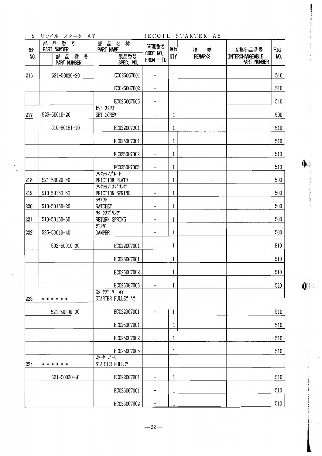| 5    | リコイル スタータ AY                   |                                                                 |                          |              | RECOIL STARTER AY |                                       |      |
|------|--------------------------------|-----------------------------------------------------------------|--------------------------|--------------|-------------------|---------------------------------------|------|
| REF. | 部<br>品番号<br><b>PART NUMBER</b> | 品名称<br>部<br>PART NAME                                           | 管理番号<br>CODE NO.         | 個数           | 摘<br>要            | 互换部品番号                                | FIG. |
| NO.  | 部品番号<br><b>PART NUMBER</b>     | 製品番号<br>SPEC. NO.                                               | $FROM - TO$              | QTY          | <b>REMARKS</b>    | <b>INTERCHANGEABLE</b><br>PART NUMBER | NO.  |
| 216  | 521-50020-20                   | EC0250G7001                                                     | $\overline{\phantom{a}}$ | $\mathbf{1}$ |                   |                                       | 510  |
|      |                                | EC0250G7002                                                     | $\overline{\phantom{a}}$ | 1            |                   |                                       | 510  |
|      |                                | EC0250G7005                                                     | $\overline{\phantom{a}}$ | 1            |                   |                                       | 510  |
| 217  | 525-50010-20                   | セット スクリュ<br><b>SET SCREW</b>                                    | $\overline{\phantom{0}}$ | 1            |                   |                                       | 500  |
|      | $510 - 50151 - 10$             | EC0220G7001                                                     | $\overline{\phantom{0}}$ | $\mathbf{1}$ |                   |                                       | 510  |
|      |                                | EC0250G7001                                                     | $\qquad \qquad -$        | $\mathbf{1}$ |                   |                                       | 510  |
|      |                                | EC0250G7002                                                     | -                        | $\mathbf{1}$ |                   |                                       | 510  |
|      |                                | EC0250G7005                                                     |                          | $\mathbf{1}$ |                   |                                       | 510  |
| 218  | $521 - 50020 - 40$             | フリクションプレート<br>FRICTION PLATE                                    | $\qquad \qquad -$        | $\mathbf{1}$ |                   |                                       | 500  |
| 219  | 510-50150-50                   | フリクシヨン スプリング<br>FRICTION SPRING                                 | $\overline{\phantom{0}}$ | $\mathbf{1}$ |                   |                                       | 500  |
| 220  | 510-50150-20                   | ラチェツト<br>RATCHET                                                | $\overline{\phantom{0}}$ | $\mathbf{1}$ |                   |                                       | 500  |
| 221  | 510-50150-60                   | リターンスプリング<br>RETURN SPRING                                      | $\overline{\phantom{0}}$ | $\mathbf{1}$ |                   |                                       | 500  |
| 222  | 525-50010-40                   | ダンパー<br><b>DAMPER</b>                                           | $\overline{\phantom{0}}$ | $\mathbf{1}$ |                   |                                       | 500  |
|      | $502 - 50010 - 30$             | EC0220G7001                                                     | $\qquad \qquad -$        | $\mathbf{1}$ |                   |                                       | 510  |
|      |                                | EC0250G7001                                                     | -                        | $\mathbf{1}$ |                   |                                       | 510  |
|      |                                | EC0250G7002                                                     |                          | $\mathbf{1}$ |                   |                                       | 510  |
| 223  | $\pmb{*}$ $\pmb{*}$            | EC0250G7005<br>$79 - 97^{\circ} - 11 - 19$<br>STARTER PULLEY AY |                          | $\mathbf{1}$ |                   |                                       | 510  |
|      | 521-50300-00                   | EC0220G7001                                                     |                          | $\mathbf{1}$ |                   |                                       | 510  |
|      |                                | EC0250G7001                                                     | $\qquad \qquad -$        | $\mathbf{1}$ |                   |                                       | 510  |
|      |                                | EC0250G7002                                                     | $\overline{\phantom{0}}$ | $\mathbf{1}$ |                   |                                       | 510  |
|      |                                | EC0250G7005                                                     |                          | $\mathbf{1}$ |                   |                                       | 510  |
| 224  | * * *                          | $79 - 97 - 11$<br>STARTER PULLEY                                |                          |              |                   |                                       |      |
|      | $521 - 50030 - 10$             | EC0220G7001                                                     | -                        | $\mathbf{1}$ |                   |                                       | 510  |
|      |                                | EC0250G7001                                                     | $\overline{\phantom{a}}$ | 1            |                   |                                       | 510  |
|      |                                | EC0250G7002                                                     |                          | 1            |                   |                                       | 510  |

 $\begin{pmatrix} 1 \\ 1 \\ 1 \end{pmatrix}$ 

 $\mathbf{0}$ 

 $\mathbf{0}$ 

 $-22-$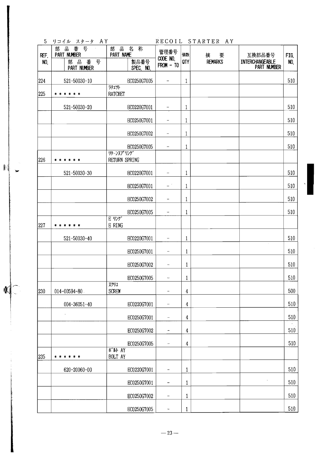| リコイル スタータ AY |  |
|--------------|--|
|              |  |

 $\mathbb{N}$ 

 $\left| \psi \right|$ 

| 5    | リコイル スタータ AY                     |                                                     | RECOIL STARTER AY            |                  |                |                                       |      |  |
|------|----------------------------------|-----------------------------------------------------|------------------------------|------------------|----------------|---------------------------------------|------|--|
| REF. | 品<br>番<br>号<br>部<br>PART NUMBER  | 名 称<br>部<br>品<br>PART NAME                          | 管理番号<br>CODE NO.             | 個数               | 摘 要            | 互换部品番号                                | FIG. |  |
| NO.  | 番 号<br>部 品<br><b>PART NUMBER</b> | 製品番号<br>SPEC. NO.                                   | $FROM - TO$                  | QTY              | <b>REMARKS</b> | <b>INTERCHANGEABLE</b><br>PART NUMBER | NO.  |  |
| 224  | 521-50030-10                     | EC0250G7005                                         | $\blacksquare$               | $\mathbf{1}$     |                |                                       | 510  |  |
| 225  | * * * * * *                      | ラチェット<br><b>RATCHET</b>                             |                              |                  |                |                                       |      |  |
|      | 521-50030-20                     | EC0220G7001                                         | $\qquad \qquad -$            | $\mathbf{1}$     |                |                                       | 510  |  |
|      |                                  | EC0250G7001                                         | ÷                            | $\mathbf{1}$     |                |                                       | 510  |  |
|      |                                  | EC0250G7002                                         | $\overline{\phantom{0}}$     | $\mathbf{1}$     |                |                                       | 510  |  |
|      |                                  | EC0250G7005<br>リターンスプ <sup>®</sup> リング <sup>ヾ</sup> | $\equiv$                     | $\mathbf{1}$     |                |                                       | 510  |  |
| 226  | * * * * * *                      | RETURN SPRING                                       |                              |                  |                |                                       |      |  |
|      | 521-50030-30                     | EC0220G7001                                         |                              | $\mathbf{1}$     |                |                                       | 510  |  |
|      |                                  | EC0250G7001                                         | $ \degree$                   | $\mathbf{1}$     |                |                                       | 510  |  |
|      |                                  | EC0250G7002                                         | $\overline{\phantom{0}}$     | $\mathbf{1}$     |                |                                       | 510  |  |
|      |                                  | EC0250G7005<br>E リング                                | $\overline{\phantom{0}}$     | $\mathbf{1}$     |                |                                       | 510  |  |
| 227  | * *<br>* * * *                   | E RING                                              |                              |                  |                |                                       |      |  |
|      | $521 - 50030 - 40$               | EC0220G7001                                         | $\qquad \qquad -$            | $\mathbf{1}$     |                |                                       | 510  |  |
|      |                                  | EC0250G7001                                         | -                            | $\mathbf{1}$     |                | $\sim$                                | 510  |  |
|      |                                  | EC0250G7002                                         | $\overline{\phantom{m}}$     | $\mathbf{1}$     |                |                                       | 510  |  |
|      |                                  | EC0250G7005                                         | $\overline{\phantom{0}}$     | 1                |                |                                       | 510  |  |
| 230  | $014 - 00594 - 80$               | スクリユ<br><b>SCREW</b>                                | -                            | $\overline{4}$   |                |                                       | 500  |  |
|      | $004 - 36051 - 40$               | EC0220G7001                                         | <b>—</b>                     | $\overline{4}$   |                |                                       | 510  |  |
|      |                                  | EC0250G7001                                         | $\qquad \qquad -$            | 4                |                |                                       | 510  |  |
|      |                                  | EC0250G7002                                         | $\overline{\phantom{0}}$     | 4                |                |                                       | 510  |  |
|      |                                  | EC0250G7005                                         | $\overline{\phantom{0}}$     | $\boldsymbol{4}$ |                |                                       | 510  |  |
| 235  | * * * * * *                      | ボル AY<br>BOLT AY                                    |                              |                  |                |                                       |      |  |
|      | 620-20060-00                     | EC0220G7001                                         | $\qquad \qquad \blacksquare$ | $\mathbf{1}$     |                |                                       | 510  |  |
|      |                                  | EC0250G7001                                         | -                            | 1                |                |                                       | 510  |  |
|      |                                  | EC0250G7002                                         | $\qquad \qquad -$            | $\mathbf{1}$     |                |                                       | 510  |  |
|      |                                  | EC0250G7005                                         | -                            | $\mathbf{1}$     |                |                                       | 510  |  |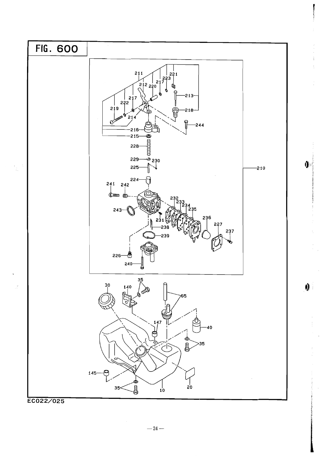![](_page_25_Figure_0.jpeg)

 $-24-$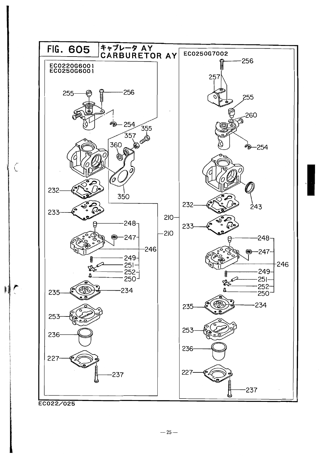![](_page_26_Figure_0.jpeg)

![](_page_26_Figure_1.jpeg)

 $\zeta$ 

 $\mathbf{E}$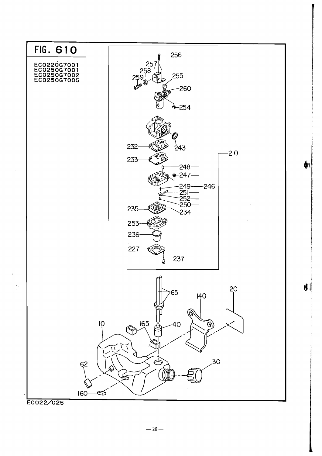![](_page_27_Figure_0.jpeg)

 $-26-$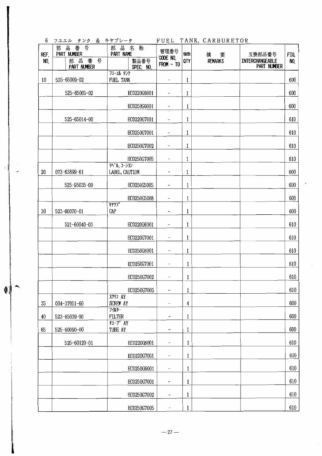6 フユエル タンク & キヤブレータ FUEL TANK, CARBURETOR

 $\overline{\phantom{a}}$ 

 $\mathbf{0}$ 

| REF.<br>NO. | 品<br>号<br>番<br>部<br>PART NUMBER<br>部品番号 | 品名<br>部<br>称<br>PART NAME<br>製品番号 | 管理番号<br>CODE NO.         | 個数<br>QTY        | 摘<br>要<br><b>REMARKS</b> | 互换部品番号<br><b>INTERCHANGEABLE</b> | FIG.<br>NO, |
|-------------|-----------------------------------------|-----------------------------------|--------------------------|------------------|--------------------------|----------------------------------|-------------|
|             | <b>PART NUMBER</b>                      | SPEC. NO.                         | $FROM - TO$              |                  |                          | <b>PART NUMBER</b>               |             |
| 10          | 525-65009-02                            | フューェル タンク<br>FUEL TANK            | $\overline{\phantom{0}}$ | $\mathbf{1}$     |                          |                                  | 600         |
|             | 525-65005-02                            | EC0220G6001                       | -                        | 1                |                          |                                  | 600         |
|             |                                         | EC0250G6001                       | $\overline{\phantom{0}}$ | 1                |                          |                                  | 600         |
|             | 525-65014-00                            | EC0220G7001                       | $\overline{\phantom{m}}$ | 1                |                          |                                  | 610         |
|             |                                         | EC0250G7001                       | $\qquad \qquad -$        | $\mathbf{1}$     |                          |                                  | 610         |
|             |                                         | EC0250G7002                       |                          | 1                |                          |                                  | 610         |
|             |                                         | EC0250G7005                       |                          | $\mathbf{1}$     |                          |                                  | 610         |
| 20          | 073-63899-61                            | ラヘ゛ル、コーシヨン<br>LABEL, CAUTION      | -                        | 1                |                          |                                  | 600         |
|             | 525-95035-00                            | EC0250G5005                       |                          | 1                |                          |                                  | 600         |
|             |                                         | EC0250G5008                       | -                        | $\mathbf{1}$     |                          |                                  | 600         |
| 30          | 523-60070-01                            | $+$<br>CAP                        | $\overline{\phantom{0}}$ | $\mathbf{1}$     |                          |                                  | 600         |
|             | $521 - 60040 - 03$                      | EC0220G6001                       | -                        | $\mathbf{1}$     |                          |                                  | 610         |
|             |                                         | EC0220G7001                       | <sup>-</sup>             | 1                |                          |                                  | 610         |
|             |                                         | EC0250G6001                       | $\qquad \qquad -$        | 1                |                          |                                  | 610         |
|             |                                         | EC0250G7001                       | $\overline{\phantom{0}}$ | $\mathbf{1}$     |                          |                                  | 610         |
|             |                                         | EC0250G7002                       | $\qquad \qquad -$        | 1                |                          |                                  | 610         |
|             |                                         | EC0250G7005                       | -                        | 1                |                          |                                  | 610         |
| 35          | $004 - 37051 - 60$                      | スクリュ AY<br><b>SCREW AY</b>        |                          | $\boldsymbol{4}$ |                          |                                  | 600         |
| 40          | 523-65039-00                            | フィルター<br>FILTER                   |                          | 1                |                          |                                  | 600         |
| 65          | 525-60090-00                            | $f1-T$ AY<br>TUBE AY              |                          | 1                |                          |                                  | 600         |
|             | 525-60120-01                            | EC0220G6001                       | -                        | $\mathbf{1}$     |                          |                                  | 610         |
|             |                                         | EC0220G7001                       | -                        | 1                |                          | $\sim$                           | 610         |
|             |                                         | EC0250G6001                       | -                        | 1                |                          |                                  | 610         |
|             |                                         | EC0250G7001                       | -                        | 1                |                          |                                  | 610         |
|             |                                         | EC0250G7002                       | $\overline{\phantom{a}}$ | 1                |                          |                                  | 610         |
|             |                                         | EC0250G7005                       | $\qquad \qquad -$        | 1                |                          |                                  | 610         |

 $-27-$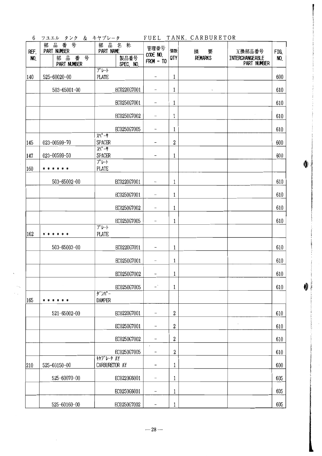| 6 フユエル タンク & キヤブレータ |  |  | FUEL TANK, CARBURETOR |
|---------------------|--|--|-----------------------|
|---------------------|--|--|-----------------------|

 $\overline{\phantom{a}}$ 

| REF. | 品<br>号<br>部<br>番<br>PART NUMBER<br>빰<br>号<br>部 | 部<br>品<br>名<br>称<br>PART NAME         | 管理番号<br>CODE NO.         | 個数<br>QTY        | 摘<br>要             | 互換部品番号                         | FIG. |
|------|------------------------------------------------|---------------------------------------|--------------------------|------------------|--------------------|--------------------------------|------|
| NO.  | 番<br>PART NUMBER                               | 製品番号<br>SPEC. NO.                     | $FROM - TO$              |                  | <b>REMARKS</b>     | INTERCHANGEABLE<br>PART NUMBER | NO.  |
| 140  | 525-60020-00                                   | $7°$ $\nu$ - $\vdash$<br><b>PLATE</b> | $\overline{\phantom{0}}$ | $\mathbf{1}$     |                    |                                | 600  |
|      | $503 - 65001 - 00$                             | EC0220G7001                           | $\overline{\phantom{0}}$ | $\mathbf{1}$     | $\hat{\mathbf{r}}$ |                                | 610  |
|      |                                                | EC0250G7001                           | $\overline{\phantom{0}}$ | $\mathbf{1}$     |                    |                                | 610  |
|      |                                                | EC0250G7002                           | $\qquad \qquad -$        | 1                |                    |                                | 610  |
|      |                                                | EC0250G7005                           | $\overline{\phantom{m}}$ | 1                |                    |                                | 610  |
| 145  | 023-00599-70                                   | $70^\circ - 4$<br><b>SPACER</b>       | -                        | $\boldsymbol{2}$ |                    |                                | 600  |
| 147  | 023-00599-50                                   | $70^\circ - 11$<br><b>SPACER</b>      |                          | 1                |                    |                                | 600  |
| 160  | * * * * * *                                    | $7°$ $\nu$ - $\vdash$<br><b>PLATE</b> |                          |                  |                    |                                |      |
|      | 503-65002-00                                   | EC0220G7001                           |                          | $\mathbf{1}$     |                    |                                | 610  |
|      |                                                | EC0250G7001                           | $\qquad \qquad -$        | $\mathbf{1}$     |                    |                                | 610  |
|      |                                                | EC0250G7002                           | $\qquad \qquad -$        | $\mathbf{1}$     |                    |                                | 610  |
|      |                                                | EC0250G7005<br>プレート                   | $\overline{a}$           | $\mathbf{1}$     |                    |                                | 610  |
| 162  | * * * * * *                                    | <b>PLATE</b>                          |                          |                  |                    |                                |      |
|      | 503-65003-00                                   | EC0220G7001                           |                          | $\mathbf{1}$     |                    |                                | 610  |
|      |                                                | EC0250G7001                           | $\qquad \qquad -$        | $\mathbf{1}$     |                    |                                | 610  |
|      |                                                | EC0250G7002                           | $\overline{\phantom{a}}$ | $\mathbf{1}$     |                    |                                | 610  |
|      |                                                | EC0250G7005<br>ダンパー                   | u,                       | $1\,$            |                    |                                | 610  |
| 165  | * * *                                          | <b>DAMPER</b>                         |                          |                  |                    |                                |      |
|      | 521-65002-00                                   | EC0220G7001                           | $\overline{\phantom{0}}$ | $\rm{2}$         |                    |                                | 610  |
|      |                                                | EC0250G7001                           |                          | $\rm{2}$         |                    |                                | 610  |
|      |                                                | EC0250G7002                           | -                        | $\boldsymbol{2}$ |                    |                                | 610  |
|      |                                                | EC0250G7005<br>キャプレータ AY              | $\overline{a}$           | $\boldsymbol{2}$ |                    |                                | 610  |
| 210  | 525-60150-00                                   | CARBURETOR AY                         | $\overline{\phantom{0}}$ | 1                |                    |                                | 600  |
|      | 525-60070-00                                   | EC0220G6001                           | $\overline{\phantom{0}}$ | 1                |                    |                                | 605  |
|      |                                                | EC0250G6001                           | $\overline{\phantom{0}}$ | 1                |                    |                                | 605  |
|      | 525-60160-00                                   | EC0250G7002                           |                          | $\mathbf{1}$     |                    |                                | 605  |

 $\hat{\mathbf{v}}$ 

 $\bullet$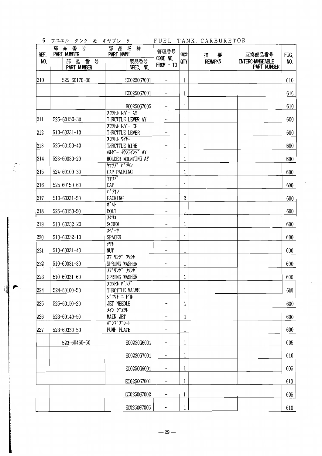6 フユエル タンク & キヤブレータ FUEL TANK, CARBURETOR

j

| REF. | 品番<br>号<br>部<br>PART NUMBER    | 品名<br>部<br>称<br>PART NAME                                          | 管理番号<br>CODE NO.                | 個数           | 摘<br>要         | 互换部品番号                                | FIG. |
|------|--------------------------------|--------------------------------------------------------------------|---------------------------------|--------------|----------------|---------------------------------------|------|
| NO.  | 部品番<br>号<br><b>PART NUMBER</b> | 製品番号<br>SPEC. NO.                                                  | $FROM - TO$                     | QTY          | <b>REMARKS</b> | INTERCHANGEABLE<br><b>PART NUMBER</b> | NO.  |
| 210  | 525-60170-00                   | EC0220G7001                                                        | $\overline{\phantom{m}}$        | $\mathbf{1}$ |                |                                       | 610  |
|      |                                | EC0250G7001                                                        | $\overline{\phantom{0}}$        | 1            |                |                                       | 610  |
|      |                                | EC0250G7005                                                        |                                 | 1            |                |                                       | 610  |
| 211  | 525-60150-30                   | $\overline{X}$<br>THROTTLE LEVER AY                                | $\qquad \qquad -$               | 1            |                |                                       | 600  |
| 212  | $510 - 60331 - 10$             | $XD''H''V'' - CP$<br>THROTTLE LEVER                                | $\qquad \qquad -$               | $\mathbf{1}$ |                |                                       | 600  |
| 213  | 525-60150-40                   | スロットル ワイヤー<br>THROTTLE WIRE                                        | $\qquad \qquad -$               | 1            |                |                                       | 600  |
| 214  | 523-60030-20                   | ホルダー マウンティング AY<br>HOLDER MOUNTING AY                              | $\overline{\phantom{0}}$        | 1            |                |                                       | 600  |
| 215  | $524 - 60100 - 30$             | <b>キヤツプ パツキン</b><br>CAP PACKING                                    | $\overline{\phantom{0}}$        | 1            |                |                                       | 600  |
| 216  | 525-60150-60                   | <b>キャップ</b><br>CAP                                                 | $\overline{a}$                  | 1            |                |                                       | 600  |
| 217  | 510-60331-50                   | パッキン<br>PACKING                                                    |                                 | 2            |                |                                       | 600  |
| 218  | 525-60150-50                   | <b>ボルト</b><br><b>BOLT</b>                                          |                                 | 1            |                |                                       | 600  |
| 219  | 510-60332-20                   | 77/11<br><b>SCREW</b>                                              | -                               | 1            |                |                                       | 600  |
| 220  | 510-60332-10                   | $\overline{\lambda\Lambda^{\circ}-\frac{\pi}{2}}$<br><b>SPACER</b> | <sup>-</sup>                    | 1            |                |                                       | 600  |
| 221  | $510 - 60331 - 40$             | ナツト<br><b>NUT</b><br>スプリング ワヅヤ                                     | $\overline{\phantom{0}}$        | 1            |                |                                       | 600  |
| 222  | $510 - 60331 - 30$             | SPRING WASHER                                                      |                                 | 1            |                |                                       | 600  |
| 223  | $510 - 60331 - 60$             | $77°$ $177°$ $7777$<br>SPRING WASHER                               | $\qquad \qquad -$               | 1            |                |                                       | 600  |
| 224  | 524-60100-50                   | スロツトル ハ゛ルフ゛<br>THROTTLE VALVE                                      | $\ddot{\phantom{1}}$            | 1            |                |                                       | 600  |
| 225  | 525-60150-20                   | ジェット ニト゛ル<br><b>JET NEEDLE</b>                                     |                                 | 1            |                |                                       | 600  |
| 226  | 523-60140-50                   | /イン ジェット<br>MAIN JET                                               | —                               | 1            |                |                                       | 600  |
| 227  | 523-60330-50                   | ポンププレト<br>PUMP PLATE                                               |                                 | 1            |                |                                       | 600  |
|      | 523-60460-50                   | EC0220G6001                                                        | -                               | 1            |                |                                       | 605  |
|      |                                | EC0220G7001                                                        | -                               | 1            |                |                                       | 610  |
|      |                                | EC0250G6001                                                        |                                 | 1            |                |                                       | 605  |
|      |                                | EC0250G7001                                                        | $\overline{\phantom{0}}$        | 1            |                |                                       | 610  |
|      |                                | EC0250G7002                                                        | $\overbrace{\phantom{1232211}}$ | 1            |                |                                       | 605  |
|      |                                | EC0250G7005                                                        | $\overline{\phantom{0}}$        | 1            |                |                                       | 610  |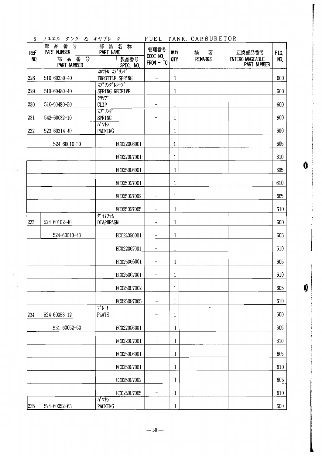| b           | フユエル<br>タンク<br>&                                                   | キヤブレータ                                     | FUEL                            |                  | TANK, CARBURETOR         |                                                 |             |
|-------------|--------------------------------------------------------------------|--------------------------------------------|---------------------------------|------------------|--------------------------|-------------------------------------------------|-------------|
| REF.<br>NO. | 品番<br>号<br>部<br><b>PART NUMBER</b><br>番<br>号<br>部 品<br>PART NUMBER | 部品名<br>称<br>PART NAME<br>製品番号<br>SPEC. NO. | 管理番号<br>CODE NO.<br>$FROM - TO$ | 個数<br><b>QTY</b> | 要<br>摘<br><b>REMARKS</b> | 互换部品番号<br>INTERCHANGEABLE<br><b>PART NUMBER</b> | FIG.<br>NO. |
| 228         | 510-60330-40                                                       | スロットル スプリンク゛<br>THROTTLE SPRING            | $\qquad \qquad -$               | $\mathbf 1$      |                          |                                                 | 600         |
| 229         | 510-60480-40                                                       | スプ リング レシーブ<br>SPRING RECEIVE              | $\overline{\phantom{0}}$        | 1                |                          |                                                 | 600         |
| 230         | 510-60480-50                                                       | クリツフ。                                      |                                 |                  |                          |                                                 |             |
|             |                                                                    | <b>CLIP</b><br><b>スプリング</b>                | $\overline{\phantom{0}}$        | 1                |                          |                                                 | 600         |
| 231         | 542-60032-10                                                       | SPRING<br><b>パッキン</b>                      | -                               | 1                |                          |                                                 | 600         |
| 232         | $523 - 60314 - 40$                                                 | PACKING                                    |                                 | 1                |                          |                                                 | 600         |
|             | 524-60010-30                                                       | EC0220G6001                                |                                 | 1                |                          |                                                 | 605         |
|             |                                                                    | EC0220G7001                                | $\qquad \qquad -$               | 1                |                          |                                                 | 610         |
|             |                                                                    | EC0250G6001                                | $\overline{\phantom{a}}$        | $\mathbf{1}$     |                          |                                                 | 605         |
|             |                                                                    | EC0250G7001                                | $\overline{\phantom{a}}$        | $\mathbf{1}$     |                          |                                                 | 610         |
|             |                                                                    | EC0250G7002                                | $\qquad \qquad -$               | $\mathbf{1}$     |                          |                                                 | 605         |
|             |                                                                    | EC0250G7005                                | $\qquad \qquad -$               | 1                |                          |                                                 | 610         |
| 233         | 524-60102-40                                                       | ダイヤフラム<br>DIAPHRAGM                        | -                               | 1                |                          |                                                 | 600         |
|             | $524 - 60010 - 40$                                                 | EC0220G6001                                | $\overline{\phantom{a}}$        | 1                |                          |                                                 | 605         |
|             |                                                                    | EC0220G7001                                | $\qquad \qquad -$               | $\mathbf{1}$     |                          |                                                 | 610         |
|             |                                                                    | EC0250G6001                                | $\qquad \qquad -$               | 1                |                          |                                                 | 605         |
|             |                                                                    | EC0250G7001                                | $\qquad \qquad -$               | 1                |                          |                                                 | 610         |
|             |                                                                    | EC0250G7002                                | $\qquad \qquad -$               | 1                |                          |                                                 | 605         |
|             |                                                                    | EC0250G7005                                | -                               | 1                |                          |                                                 | 610         |
| 234         | 524-60053-12                                                       | $7°$ $V-h$<br><b>PLATE</b>                 | $\overbrace{\phantom{1232211}}$ | $\mathbf{1}$     | $\cdot$                  |                                                 | 600         |
|             | 531-60052-50                                                       | EC0220G6001                                | $\qquad \qquad -$               | 1                |                          |                                                 | 605         |
|             |                                                                    | EC0220G7001                                | -                               | 1                |                          |                                                 | 610         |
|             |                                                                    | EC0250G6001                                | $\cdot$<br>$\qquad \qquad -$    | 1                |                          |                                                 | 605         |
|             |                                                                    | EC0250G7001                                | $\qquad \qquad -$               | 1                |                          |                                                 | 610         |
|             |                                                                    | EC0250G7002                                | $\qquad \qquad -$               | 1                |                          |                                                 | 605         |
|             |                                                                    | EC0250G7005                                | $\overline{\phantom{m}}$        | 1                |                          |                                                 | 610         |
| 235         | 524-60052-63                                                       | <b>N°ツキン</b><br>PACKING                    |                                 |                  |                          |                                                 | 600         |

 $\bullet$ 

 $\bullet$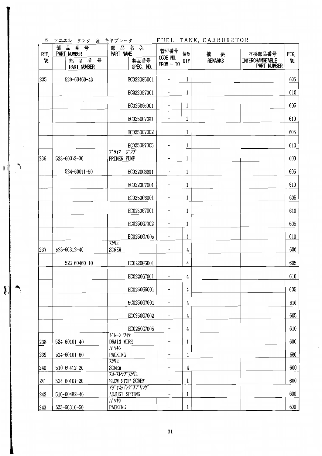6 フユエル タンク & キヤブレータ FUEL TANK, CARBURETOR

 $\big)$ 

 $\begin{bmatrix} 1 & 1 \\ 1 & 1 \end{bmatrix}$ 

| REF. | 멂<br>部<br>番<br>号<br><b>PART NUMBER</b> | 称<br>品<br>名<br>部<br><b>PART NAME</b> | 管理番号<br>CODE NO.                                     | 個数           | 摘<br>要         | 互换部品番号                                       | FIG. |
|------|----------------------------------------|--------------------------------------|------------------------------------------------------|--------------|----------------|----------------------------------------------|------|
| NO.  | 品<br>号<br>部<br>番<br>PART NUMBER        | 製品番号<br>SPEC. NO.                    | $FROM - TO$                                          | QTY          | <b>REMARKS</b> | <b>INTERCHANGEABLE</b><br><b>PART NUMBER</b> | NO.  |
| 235  | $523 - 60460 - 40$                     | EC0220G6001                          | -                                                    | $\mathbf{1}$ |                |                                              | 605  |
|      |                                        | EC0220G7001                          | $\overline{\phantom{0}}$                             | 1            |                |                                              | 610  |
|      |                                        | EC0250G6001                          | $\overline{\phantom{0}}$<br>$\overline{\phantom{a}}$ | 1            |                |                                              | 605  |
|      |                                        | EC0250G7001                          | —                                                    | 1            |                |                                              | 610  |
|      |                                        | EC0250G7002                          |                                                      | 1            |                |                                              | 605  |
|      |                                        | EC0250G7005<br>$7°$ $77  \sqrt{7}°$  |                                                      | 1            |                |                                              | 610  |
| 236  | 523-60312-30                           | PRIMER PUMP                          |                                                      | 1            |                |                                              | 600  |
|      | 524-60011-50                           | EC0220G6001                          | -                                                    | 1            |                |                                              | 605  |
|      |                                        | EC0220G7001                          | $\qquad \qquad -$                                    | 1            |                |                                              | 610  |
|      |                                        | EC0250G6001                          | -                                                    | 1            |                |                                              | 605  |
|      |                                        | EC0250G7001                          | $-$ .                                                | 1            |                |                                              | 610  |
|      |                                        | EC0250G7002                          | -                                                    | 1            |                |                                              | 605  |
|      |                                        | EC0250G7005<br>スクリユ                  | —                                                    | 1            |                |                                              | 610  |
| 237  | 523-60312-40                           | <b>SCREW</b>                         | —                                                    | 4            |                |                                              | 600  |
|      | $523 - 60460 - 10$                     | EC0220G6001                          | -                                                    | 4            |                |                                              | 605  |
|      |                                        | EC0220G7001                          | $\overline{\phantom{0}}$                             | 4            |                |                                              | 610  |
|      |                                        | EC0250G6001                          | $\overline{\phantom{a}}$                             | 4            |                |                                              | 605  |
|      |                                        | EC0250G7001                          | $\overline{\phantom{a}}$                             | 4            |                |                                              | 610  |
|      |                                        | EC0250G7002                          | $\overline{\phantom{a}}$                             | 4            |                |                                              | 605  |
|      |                                        | EC0250G7005<br>ドレーン ワイヤ              | $\qquad \qquad -$                                    | 4            |                |                                              | 610  |
| 238  | $524 - 60101 - 40$                     | <b>DRAIN WIRE</b><br><b>パッキン</b>     | -                                                    | 1            |                |                                              | 600  |
| 239  | 524-60101-60                           | PACKING<br>スクリユ                      | -                                                    | 1            |                |                                              | 600  |
| 240  | 510-60412-20                           | <b>SCREW</b><br>スローストツフ°スクリュ         | -                                                    | 4            |                |                                              | 600  |
| 241  | 524-60101-20                           | SLOW STOP SCREW<br>アジヤステイングスプリング     | $\overline{\phantom{0}}$                             | 1            |                |                                              | 600  |
| 242  | 510-60482-40                           | ADJUST SPRING<br><b>パツキン</b>         | $\overline{\phantom{0}}$                             | 1            |                |                                              | 600  |
| 243  | 523-60310-50                           | PACKING                              | $\overline{a}$                                       | 1            |                |                                              | 600  |

 $\mathcal{A}^{\mathcal{A}}$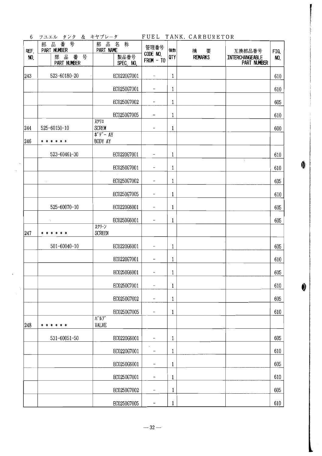| 6 フユエル タンク & キヤブレータ | FUEL TANK, CARBURETOR |
|---------------------|-----------------------|
|---------------------|-----------------------|

| REF. | 品<br>部<br>号<br>番<br>PART NUMBER        | 멻<br>称<br>部<br>名<br>PART NAME                                                                     | 管理番号                     | 個数           | 摘<br>要         | 互换部品番号                                | FIG. |
|------|----------------------------------------|---------------------------------------------------------------------------------------------------|--------------------------|--------------|----------------|---------------------------------------|------|
| NO.  | 品<br>号<br>部<br>番<br><b>PART NUMBER</b> | 製品番号<br>SPEC. NO.                                                                                 | CODE NO.<br>$FROM - TO$  | QTY          | <b>REMARKS</b> | <b>INTERCHANGEABLE</b><br>PART NUMBER | NO.  |
| 243  | 523-60180-20                           | EC0220G7001                                                                                       | $\overline{\phantom{0}}$ | $\mathbf{1}$ |                |                                       | 610  |
|      |                                        | EC0250G7001                                                                                       | -                        | $\mathbf{1}$ |                |                                       | 610  |
|      |                                        | EC0250G7002                                                                                       | -                        | 1            |                |                                       | 605  |
|      |                                        | EC0250G7005                                                                                       | -                        | 1            |                |                                       | 610  |
| 244  | 525-60150-10                           | スクリユ<br><b>SCREW</b>                                                                              | $\overline{\phantom{0}}$ | 1            |                |                                       | 600  |
| 246  | * * * * * *                            | $\overline{\pi}$ $\overline{\tau}$ $\overline{\tau}$ $\overline{\tau}$ $\overline{AY}$<br>BODY AY |                          |              |                |                                       |      |
|      | $523 - 60461 - 30$                     | EC0220G7001                                                                                       | -                        | 1            |                |                                       | 610  |
|      |                                        | EC0250G7001                                                                                       | -                        | 1            |                | ÷,                                    | 610  |
|      |                                        | EC0250G7002                                                                                       | -                        | 1            |                |                                       | 605  |
|      |                                        | EC0250G7005                                                                                       | $\overline{\phantom{0}}$ | 1            |                |                                       | 610  |
|      | 525-60070-10                           | EC0220G6001                                                                                       | -                        | 1            |                |                                       | 605  |
|      |                                        | EC0250G6001                                                                                       | -                        | 1            |                |                                       | 605  |
| 247  |                                        | スクリーン<br><b>SCREEN</b>                                                                            |                          |              |                |                                       |      |
|      | $501 - 60040 - 10$                     | EC0220G6001                                                                                       | -                        | 1            |                |                                       | 605  |
|      |                                        | EC0220G7001                                                                                       | -                        | 1            |                |                                       | 610  |
|      |                                        | EC0250G6001                                                                                       | -                        | 1            |                |                                       | 605  |
|      |                                        | EC0250G7001                                                                                       | $\overline{\phantom{0}}$ | 1            |                |                                       | 610  |
|      |                                        | EC0250G7002                                                                                       | $\qquad \qquad -$        | 1            |                |                                       | 605  |
|      |                                        | EC0250G7005<br>バルア                                                                                | $\overline{\phantom{a}}$ | 1            |                |                                       | 610  |
| 248  | * * *<br>* * *                         | VALVE                                                                                             |                          |              |                |                                       |      |
|      | 531-60051-50                           | EC0220G6001                                                                                       | -                        | 1            |                |                                       | 605  |
|      |                                        | EC0220G7001                                                                                       | $\overline{\phantom{a}}$ | $\mathbf{1}$ |                |                                       | 610  |
|      |                                        | EC0250G6001                                                                                       | $\overline{\phantom{a}}$ | $\mathbf{1}$ |                |                                       | 605  |
|      |                                        | EC0250G7001                                                                                       | $\qquad \qquad -$        | $\mathbf{1}$ |                |                                       | 610  |
|      |                                        | EC0250G7002                                                                                       | $\overline{\phantom{a}}$ | 1            |                |                                       | 605  |
|      |                                        | EC0250G7005                                                                                       | -                        | 1            |                |                                       | 610  |

 $\hat{\mathbf{Q}}$ 

 $\ddot{\mathbf{0}}$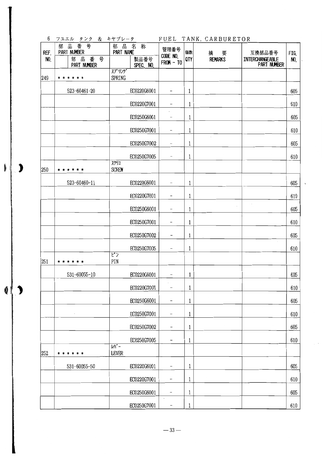|  |  | 6 フユエル タンク & キヤブレータ |  | FUEL TANK, CARBURETOR |
|--|--|---------------------|--|-----------------------|
|  |  |                     |  |                       |

 $\begin{matrix} \end{matrix}$ 

 $\sqrt{2}$ 

| REF. | 品<br>部<br>番<br>号<br><b>PART NUMBER</b> | 品<br>名<br>称<br>部<br>PART NAME                      | 管理番号<br>CODE NO.         | 個数           | 摘<br>要         | 互换部品番号                                | FIG. |
|------|----------------------------------------|----------------------------------------------------|--------------------------|--------------|----------------|---------------------------------------|------|
| NO.  | 品番<br>号<br>部<br>PART NUMBER            | 製品番号<br>SPEC. NO.                                  | $FROM - TO$              | QTY          | <b>REMARKS</b> | INTERCHANGEABLE<br><b>PART NUMBER</b> | NO.  |
| 249  | * *<br>$\star$<br>*                    | <b>スプリング</b><br>SPRING                             |                          |              |                |                                       |      |
|      | $523 - 60461 - 20$                     | EC0220G6001                                        |                          | 1            |                |                                       | 605  |
|      |                                        | EC0220G7001                                        |                          | 1            |                |                                       | 610  |
|      |                                        | EC0250G6001                                        | -                        | 1            |                |                                       | 605  |
|      |                                        | EC0250G7001                                        | -                        | 1            |                |                                       | 610  |
|      |                                        | EC0250G7002                                        | -                        | 1            |                |                                       | 605  |
|      |                                        | EC0250G7005                                        | -                        | 1            |                |                                       | 610  |
| 250  | *<br>*<br>÷<br>*                       | 77/11<br><b>SCREW</b>                              |                          |              |                |                                       |      |
|      | 523-60460-11                           | EC0220G6001                                        | <sup>-</sup>             | 1            |                |                                       | 605  |
|      |                                        | EC0220G7001                                        | -                        | 1            |                |                                       | 610  |
|      |                                        | EC0250G6001                                        | $\qquad \qquad -$        | 1            |                |                                       | 605  |
|      |                                        | EC0250G7001                                        | -                        | 1            |                |                                       | 610  |
|      |                                        | EC0250G7002                                        | -                        | 1            |                |                                       | 605  |
|      |                                        | EC0250G7005                                        |                          | 1            |                |                                       | 610  |
| 251  | * * * * * *                            | $\overline{\mathfrak{k}^\circ\mathfrak{z}}$<br>PIN |                          |              |                |                                       |      |
|      | $531 - 60055 - 10$                     | EC0220G6001                                        |                          | 1            |                |                                       | 605  |
|      |                                        | EC0220G7001                                        | $\qquad \qquad -$        | 1            |                |                                       | 610  |
|      |                                        | EC0250G6001                                        | -                        | 1            |                |                                       | 605  |
|      |                                        | EC0250G7001                                        | $\overline{\phantom{0}}$ | 1            |                |                                       | 610  |
|      |                                        | EC0250G7002                                        | $\qquad \qquad -$        | $\mathbf 1$  |                |                                       | 605  |
|      |                                        | EC0250G7005<br>$W -$                               | -                        | $\mathbf{1}$ |                |                                       | 610  |
| 252  | *<br>* *<br>*                          | <b>LEVER</b>                                       |                          |              |                |                                       |      |
|      | 531-60055-50                           | EC0220G6001                                        | $\overline{\phantom{0}}$ | 1            |                |                                       | 605  |
|      |                                        | EC0220G7001                                        | $\overline{\phantom{0}}$ | $\mathbf 1$  |                |                                       | 610  |
|      |                                        | EC0250G6001                                        | -                        | $\mathbf{1}$ |                |                                       | 605  |
|      |                                        | EC0250G7001                                        | $\overline{\phantom{a}}$ | 1            |                |                                       | 610  |

 $\frac{1}{2}$  ,  $\frac{1}{2}$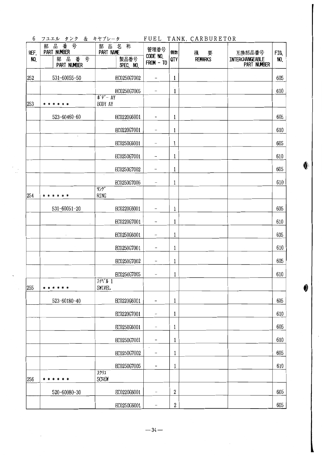| 6           | フユエル<br>タンク<br>&<br>キヤブレータ                                 |                                                                                                                                                                                                                                                                                                                                                                                                                                                                                                                                                 | FUEL                            | TANK, CARBURETOR |                          |                                  |             |  |
|-------------|------------------------------------------------------------|-------------------------------------------------------------------------------------------------------------------------------------------------------------------------------------------------------------------------------------------------------------------------------------------------------------------------------------------------------------------------------------------------------------------------------------------------------------------------------------------------------------------------------------------------|---------------------------------|------------------|--------------------------|----------------------------------|-------------|--|
| REF.<br>NO. | 品<br>号<br>部<br>番<br><b>PART NUMBER</b><br>番<br>号<br>굠<br>部 | 部品名<br>称<br>PART NAME<br>製品番号                                                                                                                                                                                                                                                                                                                                                                                                                                                                                                                   | 管理番号<br>CODE NO.<br>$FROM - TO$ | 個数<br><b>QTY</b> | 摘<br>要<br><b>REMARKS</b> | 互換部品番号<br><b>INTERCHANGEABLE</b> | FIG.<br>NO. |  |
|             | <b>PART NUMBER</b>                                         | SPEC. NO.                                                                                                                                                                                                                                                                                                                                                                                                                                                                                                                                       |                                 |                  |                          | PART NUMBER                      |             |  |
| 252         | 531-60055-50                                               | EC0250G7002                                                                                                                                                                                                                                                                                                                                                                                                                                                                                                                                     | -                               | 1                |                          |                                  | 605         |  |
|             |                                                            | EC0250G7005                                                                                                                                                                                                                                                                                                                                                                                                                                                                                                                                     | $\qquad \qquad -$               | $\mathbf{1}$     |                          |                                  | 610         |  |
| 253         | * * * * * *                                                | $\overrightarrow{p}$ $\overrightarrow{r}$ $\overrightarrow{r}$ $\overrightarrow{r}$ $\overrightarrow{r}$<br>BODY AY                                                                                                                                                                                                                                                                                                                                                                                                                             |                                 |                  |                          |                                  |             |  |
|             | 523-60460-60                                               | EC0220G6001                                                                                                                                                                                                                                                                                                                                                                                                                                                                                                                                     | -                               | $\mathbf{1}$     |                          |                                  | 605         |  |
|             |                                                            | EC0220G7001                                                                                                                                                                                                                                                                                                                                                                                                                                                                                                                                     | $\overline{\phantom{0}}$        | $\mathbf{1}$     |                          |                                  | 610         |  |
|             | $\cdot$                                                    | EC0250G6001                                                                                                                                                                                                                                                                                                                                                                                                                                                                                                                                     | $\overline{\phantom{0}}$        | $\mathbf{1}$     |                          |                                  | 605         |  |
|             |                                                            | EC0250G7001                                                                                                                                                                                                                                                                                                                                                                                                                                                                                                                                     | $\overline{\phantom{0}}$        | $\mathbf{1}$     |                          |                                  | 610         |  |
|             |                                                            | EC0250G7002                                                                                                                                                                                                                                                                                                                                                                                                                                                                                                                                     | $\overline{\phantom{0}}$        | 1                |                          |                                  | 605         |  |
|             |                                                            | EC0250G7005                                                                                                                                                                                                                                                                                                                                                                                                                                                                                                                                     | $\overline{\phantom{0}}$        | 1                |                          |                                  | 610         |  |
| 254         | * * * * * *                                                | リング<br><b>RING</b>                                                                                                                                                                                                                                                                                                                                                                                                                                                                                                                              |                                 |                  |                          |                                  |             |  |
|             | $531 - 60051 - 20$                                         | EC0220G6001                                                                                                                                                                                                                                                                                                                                                                                                                                                                                                                                     | -                               | 1                |                          |                                  | 605         |  |
|             |                                                            | EC0220G7001                                                                                                                                                                                                                                                                                                                                                                                                                                                                                                                                     | -                               | 1                |                          |                                  | 610         |  |
|             |                                                            | EC0250G6001                                                                                                                                                                                                                                                                                                                                                                                                                                                                                                                                     | $\overline{\phantom{0}}$        | $\mathbf{1}$     |                          |                                  | 605         |  |
|             |                                                            | EC0250G7001                                                                                                                                                                                                                                                                                                                                                                                                                                                                                                                                     | $\qquad \qquad -$               | 1                |                          |                                  | 610         |  |
|             |                                                            | EC0250G7002                                                                                                                                                                                                                                                                                                                                                                                                                                                                                                                                     | $\qquad \qquad$                 | 1                |                          |                                  | 605         |  |
|             |                                                            | EC0250G7005                                                                                                                                                                                                                                                                                                                                                                                                                                                                                                                                     | $\qquad \qquad -$               | 1                |                          |                                  | 610         |  |
| 255         | * * * * * *                                                | $\overline{\lambda}$ $\overline{\lambda}$ $\overline{\lambda}$ $\overline{\lambda}$ $\overline{\lambda}$ $\overline{\lambda}$ $\overline{\lambda}$ $\overline{\lambda}$ $\overline{\lambda}$ $\overline{\lambda}$ $\overline{\lambda}$ $\overline{\lambda}$ $\overline{\lambda}$ $\overline{\lambda}$ $\overline{\lambda}$ $\overline{\lambda}$ $\overline{\lambda}$ $\overline{\lambda}$ $\overline{\lambda}$ $\overline{\lambda}$ $\overline{\lambda}$ $\overline{\lambda}$ $\overline{\lambda}$ $\overline{\lambda}$ $\overline{\$<br>SWIVEL |                                 |                  |                          |                                  |             |  |
|             | 523-60180-40                                               | EC0220G6001                                                                                                                                                                                                                                                                                                                                                                                                                                                                                                                                     | -                               | 1                |                          |                                  | 605         |  |
|             |                                                            | EC0220G7001                                                                                                                                                                                                                                                                                                                                                                                                                                                                                                                                     | $\overline{\phantom{a}}$        | 1                |                          |                                  | 610         |  |
|             |                                                            | EC0250G6001                                                                                                                                                                                                                                                                                                                                                                                                                                                                                                                                     | $\overline{\phantom{0}}$        | $\mathbf{1}$     |                          |                                  | 605         |  |
|             |                                                            | EC0250G7001                                                                                                                                                                                                                                                                                                                                                                                                                                                                                                                                     | -                               | 1                |                          |                                  | 610         |  |
|             |                                                            | EC0250G7002                                                                                                                                                                                                                                                                                                                                                                                                                                                                                                                                     | $\cdot$<br>-                    | $\mathbf{1}$     |                          |                                  | 605         |  |
|             |                                                            | EC0250G7005                                                                                                                                                                                                                                                                                                                                                                                                                                                                                                                                     | -                               | $\mathbf 1$      |                          |                                  | 610         |  |
| 256         | * * * * * *                                                | スクリユ<br><b>SCREW</b>                                                                                                                                                                                                                                                                                                                                                                                                                                                                                                                            |                                 |                  |                          |                                  |             |  |
|             | 520-60080-30                                               | EC0220G6001                                                                                                                                                                                                                                                                                                                                                                                                                                                                                                                                     | $\qquad \qquad -$               | $\sqrt{2}$       |                          |                                  | 605         |  |
|             |                                                            | EC0250G6001                                                                                                                                                                                                                                                                                                                                                                                                                                                                                                                                     | $\overline{\phantom{a}}$        | $\boldsymbol{2}$ |                          |                                  | 605         |  |

 $\bullet$ 

 $\bullet$ 

 $\sim 10^{-10}$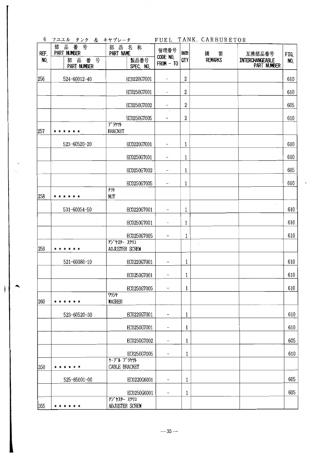6 フユエル タンク & キヤブレータ FUEL TANK, CARBURETOR

 $\frac{1}{2}$  .

Ì

 $\mathcal{L}_{\mathcal{A}}$ 

| REF. | 部<br>品<br>番<br>号<br><b>PART NUMBER</b> | 品名<br>称<br>部<br>PART NAME                | 管理番号<br>CODE NO.         | 個数               | 摘<br>要         | 互换部品番号                                       | FIG. |
|------|----------------------------------------|------------------------------------------|--------------------------|------------------|----------------|----------------------------------------------|------|
| NO.  | 品<br>号<br>部<br>番<br>PART NUMBER        | 製品番号<br>SPEC. NO.                        | $FROM - TO$              | QTY              | <b>REMARKS</b> | <b>INTERCHANGEABLE</b><br><b>PART NUMBER</b> | NO.  |
| 256  | $524 - 60012 - 40$                     | EC0220G7001                              |                          | $\boldsymbol{2}$ |                |                                              | 610  |
|      |                                        | EC0250G7001                              |                          | 2                |                |                                              | 610  |
|      |                                        | EC0250G7002                              |                          | $\boldsymbol{2}$ |                |                                              | 605  |
|      |                                        | EC0250G7005                              |                          | $\boldsymbol{2}$ |                |                                              | 610  |
| 257  |                                        | ブラケリト<br><b>BRACKET</b>                  |                          |                  |                |                                              |      |
|      | 523-60520-20                           | EC0220G7001                              |                          | 1                |                |                                              | 610  |
|      |                                        | EC0250G7001                              |                          | 1                |                |                                              | 610  |
|      |                                        | EC0250G7002                              |                          | 1                |                |                                              | 605  |
|      |                                        | EC0250G7005                              |                          | 1                |                |                                              | 610  |
| 258  |                                        | ナツト<br><b>NUT</b>                        |                          |                  |                |                                              |      |
|      | 531-60054-50                           | EC0220G7001                              | $\overline{\phantom{a}}$ | 1                |                |                                              | 610  |
|      |                                        | EC0250G7001                              | $\overline{\phantom{a}}$ | 1                |                |                                              | 610  |
|      |                                        | EC0250G7005                              | -                        | 1                |                |                                              | 610  |
| 259  | * * * *<br>$\star$                     | $75'$ $779-771$<br><b>ADJUSTER SCREW</b> |                          |                  |                |                                              |      |
|      | $521 - 60080 - 10$                     | EC0220G7001                              | ÷                        | 1                |                |                                              | 610  |
|      |                                        | EC0250G7001                              | $\qquad \qquad -$        | 1                |                |                                              | 610  |
|      |                                        | $\epsilon$<br>EC0250G7005                | $\overline{\phantom{a}}$ | 1                |                |                                              | 610  |
| 260  | * * * * * *                            | ワツシヤ<br><b>WASHER</b>                    |                          |                  |                |                                              |      |
|      | 523-60520-30                           | EC0220G7001                              |                          | 1                |                |                                              | 610  |
|      |                                        | EC0250G7001                              |                          | 1                |                |                                              | 610  |
|      |                                        | EC0250G7002                              | $\overline{\phantom{0}}$ | 1                |                |                                              | 605  |
|      |                                        | EC0250G7005                              | …                        | $\mathbf{1}$     |                |                                              | 610  |
| 350  | $* *$<br>* * * *                       | ケーブル ブラケツト<br>CABLE BRACKET              |                          |                  |                |                                              |      |
|      | 525-65001-00                           | EC0220G6001                              | -                        | 1                |                |                                              | 605  |
|      |                                        | EC0250G6001                              | $\overline{\phantom{0}}$ | $\mathbf{1}$     |                |                                              | 605  |
| 355  | * * * * * *                            | アジ ヤスター スクリユ<br>ADJUSTER SCREW           |                          |                  |                |                                              |      |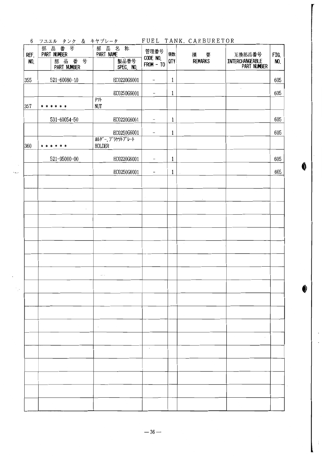| 6 フユエル タンク & キヤブレータ | FUEL TANK, CARBURETOR |
|---------------------|-----------------------|
|---------------------|-----------------------|

 $\sim$ 

 $\bar{\alpha}$ 

 $\sim$ 

| REF.<br>NO. | $\sim$ $\sim$<br>$\alpha$<br>品番号<br>部<br>PART NUMBER<br>部品番号<br>PART NUMBER | $\cdots$<br>部品名称<br>PART NAME<br>製品番号<br>SPEC, NO. | 管理番号<br>CODE NO.<br>$FROM - TO$ | 個数<br>QTY    | 摘<br>要<br><b>REMARKS</b> | 互換部品番号<br>INTERCHANGEABLE<br>PART NUMBER | FIG.<br>NO. |
|-------------|-----------------------------------------------------------------------------|----------------------------------------------------|---------------------------------|--------------|--------------------------|------------------------------------------|-------------|
| 355         | $521 - 60080 - 10$                                                          | EC0220G6001                                        | $\overline{\phantom{a}}$        | $\mathbf{1}$ |                          |                                          | 605         |
|             |                                                                             | EC0250G6001                                        | $\overline{\phantom{a}}$        | $\mathbf{1}$ |                          |                                          | 605         |
| 357         | * * * * * *                                                                 | 抄下<br><b>NUT</b>                                   |                                 |              |                          |                                          |             |
|             | $531 - 60054 - 50$                                                          | EC0220G6001                                        | $\overline{\phantom{0}}$        | $\mathbf{1}$ |                          |                                          | 605         |
| 360         | * * * * * *                                                                 | EC0250G6001<br>ホルダー, ブラケツトプレート<br>HOLDER           | $\overline{\phantom{0}}$        | $\mathbf{1}$ |                          |                                          | 605         |
|             | 521-95000-00                                                                | EC0220G6001                                        | $\overline{\phantom{0}}$        | $\mathbf{1}$ |                          |                                          | 605         |
|             |                                                                             | EC0250G6001                                        | $\qquad \qquad \blacksquare$    | $\mathbf{1}$ | $\cdot$                  |                                          | 605         |
|             |                                                                             |                                                    |                                 |              |                          |                                          |             |
|             | $\cdot$                                                                     |                                                    |                                 |              | $\epsilon$               |                                          |             |
|             |                                                                             |                                                    |                                 |              |                          |                                          |             |
|             |                                                                             |                                                    |                                 |              |                          |                                          |             |
|             |                                                                             |                                                    |                                 |              | $\sim$                   |                                          |             |
|             |                                                                             |                                                    |                                 |              |                          |                                          |             |
|             |                                                                             | $\sim$ $\sim$                                      |                                 |              |                          |                                          |             |
|             |                                                                             |                                                    |                                 |              |                          |                                          |             |
|             |                                                                             |                                                    |                                 |              |                          |                                          |             |
|             |                                                                             |                                                    |                                 |              |                          |                                          |             |
|             |                                                                             |                                                    |                                 |              |                          |                                          |             |
|             |                                                                             |                                                    |                                 |              |                          |                                          |             |
|             |                                                                             |                                                    |                                 |              |                          |                                          |             |
|             |                                                                             |                                                    |                                 |              |                          |                                          |             |
|             |                                                                             |                                                    |                                 |              |                          |                                          |             |

Ó

0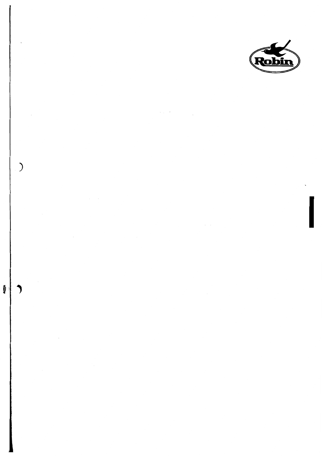![](_page_38_Picture_0.jpeg)

 $\mathcal{L}^{\mathcal{L}}(\mathcal{L}^{\mathcal{L}})$  and  $\mathcal{L}^{\mathcal{L}}(\mathcal{L}^{\mathcal{L}})$  and  $\mathcal{L}^{\mathcal{L}}(\mathcal{L}^{\mathcal{L}})$ 

 $\lambda$ 

 $\mathcal{L}$ 

 $\mathcal{E}$ 

 $\boldsymbol{\ell}$ 

 $\hat{\mathbf{v}}$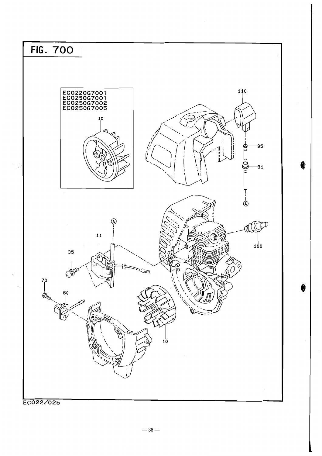![](_page_39_Figure_0.jpeg)

 $\bullet$ 

 $\bullet$ 

EC022/025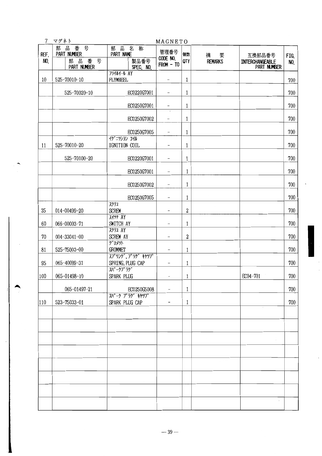| 7           | マグネト                                                                      |                                                                         | MAGNETO                         |                  |                          |                                                        |             |  |  |  |
|-------------|---------------------------------------------------------------------------|-------------------------------------------------------------------------|---------------------------------|------------------|--------------------------|--------------------------------------------------------|-------------|--|--|--|
| REF.<br>NO. | 品<br>部<br>号<br>番<br>PART NUMBER<br>番<br>号<br>品<br>部<br><b>PART NUMBER</b> | 몀<br>部<br>名<br>称<br>PART NAME<br>製品番号<br>SPEC. NO.                      | 管理番号<br>CODE NO.<br>$FROM - TO$ | 個数<br><b>QTY</b> | 摘<br>要<br><b>REMARKS</b> | 互换部品番号<br><b>INTERCHANGEABLE</b><br><b>PART NUMBER</b> | FIG.<br>NO. |  |  |  |
|             |                                                                           | フライホイール AY                                                              |                                 |                  |                          |                                                        |             |  |  |  |
| 10          | $525 - 70010 - 10$                                                        | <b>FLYWHEEL</b>                                                         | $\overline{\phantom{a}}$        | $\mathbf{1}$     |                          |                                                        | 700         |  |  |  |
|             | $525 - 70020 - 10$                                                        | EC0220G7001                                                             | $\overline{\phantom{m}}$        | $\mathbf{1}$     |                          |                                                        | 700         |  |  |  |
|             |                                                                           | EC0250G7001                                                             | $\cdot$                         | $\mathbf{1}$     |                          |                                                        | 700         |  |  |  |
|             |                                                                           | EC0250G7002                                                             | $\overline{\phantom{a}}$        | $\mathbf{1}$     |                          |                                                        | 700         |  |  |  |
|             |                                                                           | EC0250G7005<br>イグ ニツシヨン コイル                                             | $\overline{\phantom{0}}$        | $\mathbf{1}$     |                          |                                                        | 700         |  |  |  |
| 11          | 525-70010-20                                                              | IGNITION COIL                                                           | $\overline{\phantom{a}}$        | $\mathbf{1}$     |                          |                                                        | 700         |  |  |  |
|             | 525-70100-20                                                              | EC0220G7001                                                             | $\overline{\phantom{0}}$        | $\mathbf{1}$     |                          |                                                        | 700         |  |  |  |
|             |                                                                           | EC0250G7001                                                             | $\overline{\phantom{0}}$        | $\mathbf{1}$     |                          |                                                        | 700         |  |  |  |
|             |                                                                           | EC0250G7002                                                             | $\overline{\phantom{a}}$        | $\mathbf{1}$     |                          |                                                        | 700         |  |  |  |
|             |                                                                           | EC0250G7005                                                             | $\qquad \qquad -$               | 1                |                          |                                                        | 700         |  |  |  |
| 35          | 014-00499-20                                                              | スクリュ<br><b>SCREW</b>                                                    | -                               | $\overline{2}$   |                          |                                                        | 700         |  |  |  |
| 60          | 066-00003-71                                                              | <b>Zイツチ AY</b><br>SWITCH AY<br>スクリユ AY                                  | $\overline{\phantom{0}}$        | $\mathbf{1}$     |                          |                                                        | 700         |  |  |  |
| 70          | $004 - 33041 - 00$                                                        | SCREW AY<br>グロメット                                                       | $\overline{\phantom{0}}$        | $\overline{c}$   |                          |                                                        | 700         |  |  |  |
| 81          | 525-75003-00                                                              | <b>GROMMET</b>                                                          |                                 | $1\,$            |                          |                                                        | 700         |  |  |  |
| 95          | 065-40099-31                                                              | $77°$ $17°$ , $7°$ $77°$ $77°$<br>SPRING, PLUG CAP<br>$\overline{\chi}$ | $\overline{\phantom{0}}$        | $\mathbf{1}$     |                          |                                                        | 700         |  |  |  |
| 100         | 065-01498-10                                                              | SPARK PLUG                                                              | $\overline{\phantom{0}}$        | 1                |                          | EC04-701                                               | 700         |  |  |  |
|             | 065-01497-21                                                              | EC0250G5008<br>$70^\circ - 7^\circ$ $79^\circ$ $79^\circ$               |                                 | 1                |                          |                                                        | 700         |  |  |  |
| 110         | 523-75033-01                                                              | SPARK PLUG CAP                                                          |                                 | $\mathbf{1}$     |                          |                                                        | 700         |  |  |  |
|             |                                                                           |                                                                         |                                 |                  |                          |                                                        |             |  |  |  |
|             |                                                                           |                                                                         |                                 |                  |                          |                                                        |             |  |  |  |
|             |                                                                           |                                                                         |                                 |                  |                          |                                                        |             |  |  |  |
|             |                                                                           |                                                                         |                                 |                  |                          |                                                        |             |  |  |  |
|             |                                                                           |                                                                         |                                 |                  |                          |                                                        |             |  |  |  |
|             |                                                                           |                                                                         |                                 |                  |                          |                                                        |             |  |  |  |
|             |                                                                           |                                                                         |                                 |                  |                          |                                                        |             |  |  |  |
|             |                                                                           |                                                                         |                                 |                  |                          | $\cdot$                                                |             |  |  |  |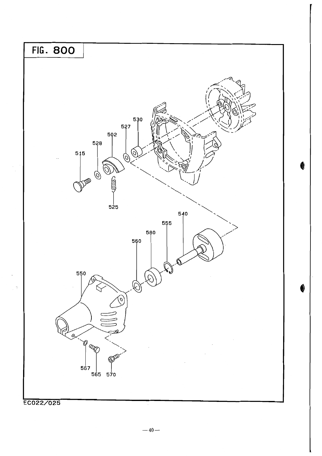![](_page_41_Figure_0.jpeg)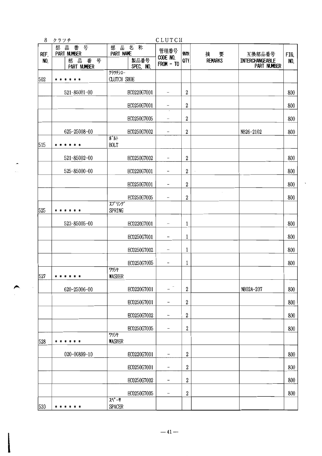| 8    | クラツチ                                   |                               | CLUTCH                   |                  |                |                                       |      |  |  |  |
|------|----------------------------------------|-------------------------------|--------------------------|------------------|----------------|---------------------------------------|------|--|--|--|
| REF. | 品<br>部<br>号<br>番<br><b>PART NUMBER</b> | 品<br>名<br>称<br>部<br>PART NAME | 管理番号<br>CODE NO.         | 個数               | 摘<br>要         | 互换部品番号                                | FIG. |  |  |  |
| NO.  | 떪<br>号<br>部<br>番<br>PART NUMBER        | 製品番号<br>SPEC. NO.             | $FROM - TO$              | QTY              | <b>REMARKS</b> | <b>INTERCHANGEABLE</b><br>PART NUMBER | NO.  |  |  |  |
| 502  | * * * * * *                            | クラツチシュー<br><b>CLUTCH SHOE</b> |                          |                  |                |                                       |      |  |  |  |
|      | $521 - 85001 - 00$                     | EC0220G7001                   | $\qquad \qquad -$        | 2                |                |                                       | 800  |  |  |  |
|      |                                        | EC0250G7001                   | $\overline{\phantom{0}}$ | $\boldsymbol{2}$ |                |                                       | 800  |  |  |  |
|      |                                        | EC0250G7005                   | $\qquad \qquad -$        | $\boldsymbol{2}$ |                |                                       | 800  |  |  |  |
|      | 625-25008-00                           | EC0250G7002<br><b>ボルト</b>     | -                        | 2                |                | NB26-2102                             | 800  |  |  |  |
| 515  | * * * * * *                            | <b>BOLT</b>                   |                          |                  |                |                                       |      |  |  |  |
|      | 521-85002-00                           | EC0250G7002                   | $\overline{\phantom{0}}$ | 2                |                |                                       | 800  |  |  |  |
|      | 525-85000-00                           | EC0220G7001                   |                          | $\boldsymbol{2}$ |                |                                       | 800  |  |  |  |
|      |                                        | EC0250G7001                   |                          | 2                |                |                                       | 800  |  |  |  |
|      |                                        | EC0250G7005<br><b>スフ</b> リンク゛ |                          | $\boldsymbol{2}$ |                |                                       | 800  |  |  |  |
| 525  | * * * * * *                            | SPRING                        |                          |                  |                |                                       |      |  |  |  |
|      | 523-85005-00                           | EC0220G7001                   |                          | $\mathbf{1}$     |                |                                       | 800  |  |  |  |
|      |                                        | EC0250G7001                   | -                        | 1                |                |                                       | 800  |  |  |  |
|      |                                        | EC0250G7002                   | -                        | 1                |                |                                       | 800  |  |  |  |
|      |                                        | EC0250G7005                   | -                        | 1                |                |                                       | 800  |  |  |  |
| 527  | * * * * * *                            | ワヅ<br><b>WASHER</b>           |                          |                  |                |                                       |      |  |  |  |
|      | 620-25006-00                           | EC0220G7001                   | -                        | $\boldsymbol{2}$ |                | NB02A-207                             | 800  |  |  |  |
|      |                                        | EC0250G7001                   | -                        | $\boldsymbol{2}$ |                |                                       | 800  |  |  |  |
|      |                                        | EC0250G7002                   | $\overline{\phantom{a}}$ | $\boldsymbol{2}$ |                |                                       | 800  |  |  |  |
|      |                                        | EC0250G7005<br>ワツシヤ           | -                        | 2                |                |                                       | 800  |  |  |  |
| 528  | * * * * * *                            | WASHER                        |                          |                  |                |                                       |      |  |  |  |
|      | $020 - 00899 - 10$                     | EC0220G7001                   | -                        | $\boldsymbol{2}$ |                |                                       | 800  |  |  |  |
|      |                                        | EC0250G7001                   | -                        | 2                |                |                                       | 800  |  |  |  |
|      |                                        | EC0250G7002                   | -                        | 2                |                |                                       | 800  |  |  |  |
|      |                                        | EC0250G7005<br>$70^\circ - 4$ | $\overline{\phantom{a}}$ | $\boldsymbol{2}$ |                |                                       | 800  |  |  |  |
| 530  | * * * * * *                            | <b>SPACER</b>                 |                          |                  |                |                                       |      |  |  |  |

 $\mathcal{L}_{\mathcal{A}}$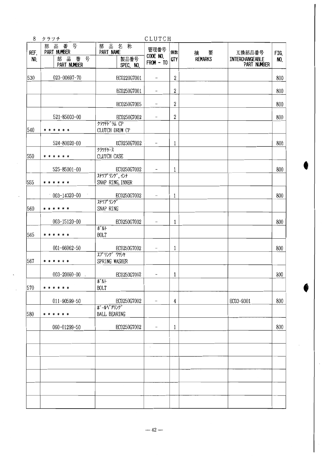| 8           | クラツチ                                             |                                          | CLUTCH                   |                  |                          |                           |             |  |
|-------------|--------------------------------------------------|------------------------------------------|--------------------------|------------------|--------------------------|---------------------------|-------------|--|
| REF.<br>NO. | 号<br>品<br>部<br>番<br>PART NUMBER<br>部 品<br>番<br>号 | 品<br>部<br>名<br>称<br>PART NAME<br>製品番号    | 管理番号<br>CODE NO.         | 個数<br>QTY        | 摘<br>要<br><b>REMARKS</b> | 互换部品番号<br>INTERCHANGEABLE | FIG.<br>NO. |  |
|             | PART NUMBER                                      | SPEC. NO.                                | $FROM - TO$              |                  |                          | PART NUMBER               |             |  |
| 530         | 023-00697-70                                     | EC0220G7001                              | $\qquad \qquad -$        | $\boldsymbol{2}$ |                          |                           | 800         |  |
|             |                                                  | EC0250G7001                              | $\overline{\phantom{0}}$ | $\boldsymbol{2}$ |                          |                           | 800         |  |
|             |                                                  | EC0250G7005                              | $\overline{\phantom{0}}$ | $\rm{2}$         |                          |                           | 800         |  |
|             | 521-85003-00                                     | EC0250G7002<br>クラッチト <sup>*</sup> ラム CP  |                          | $\boldsymbol{2}$ |                          |                           | 800         |  |
| 540         |                                                  | CLUTCH DRUM CP                           |                          |                  |                          |                           |             |  |
|             | 524-80020-00                                     | EC0250G7002                              |                          | 1                |                          |                           | 800         |  |
| 550         |                                                  | クラツチケース<br>CLUTCH CASE                   |                          |                  |                          |                           |             |  |
|             | $525 - 85001 - 00$                               | EC0250G7002                              |                          | 1                |                          |                           | 800         |  |
| 555         |                                                  | <b>スナツフ°リンク゛,インナ</b><br>SNAP RING, INNER |                          |                  |                          |                           |             |  |
|             | $003 - 14320 - 00$                               | EC0250G7002                              |                          | 1                |                          |                           | 800         |  |
| 560         | * * * * * *                                      | <b>スナツフ°リンク゛</b><br>SNAP RING            |                          |                  |                          |                           |             |  |
|             | $003 - 15120 - 00$                               | EC0250G7002                              |                          | 1                |                          |                           | 800         |  |
| 565         | * * * * * *                                      | 机叶<br>BOLT                               |                          |                  |                          |                           |             |  |
|             | 001-66062-50                                     | EC0250G7002                              | $\qquad \qquad -$        | 1                |                          |                           | 800         |  |
| 567         | * * * * * *                                      | スプリング ワヅヤ<br>SPRING WASHER               |                          |                  |                          |                           |             |  |
|             | $003 - 20060 - 00$ .                             | EC0250G7002                              |                          | 1                |                          |                           | 800         |  |
| 570         | * * *                                            | <b>ボルト</b><br><b>BOLT</b>                |                          |                  |                          |                           |             |  |
|             | 011-90599-50                                     | EC0250G7002                              |                          | 4                |                          | EC03-9301                 | 800         |  |
| 580         | * * *<br>*                                       | ボールヘ゛アリンク゛<br><b>BALL BEARING</b>        |                          |                  |                          |                           |             |  |
|             | 060-01299-50                                     | EC0250G7002                              | $\qquad \qquad -$        | 1                |                          |                           | 800         |  |
|             |                                                  |                                          |                          |                  |                          |                           |             |  |
|             |                                                  |                                          | $\overline{a}$           |                  |                          |                           |             |  |
|             |                                                  |                                          |                          |                  |                          |                           |             |  |
|             |                                                  |                                          |                          |                  |                          |                           |             |  |
|             |                                                  |                                          |                          |                  |                          |                           |             |  |
|             |                                                  |                                          |                          |                  |                          |                           |             |  |

Ĥ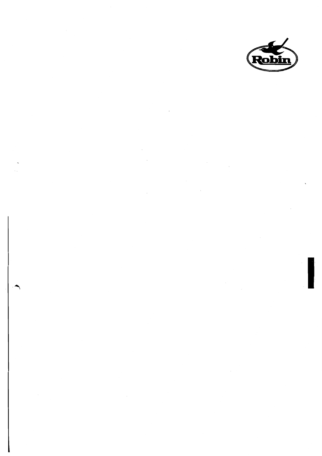![](_page_44_Picture_0.jpeg)

 $\sim$   $\sim$ 

 $\sim$ 

 $\hat{\mathcal{L}}$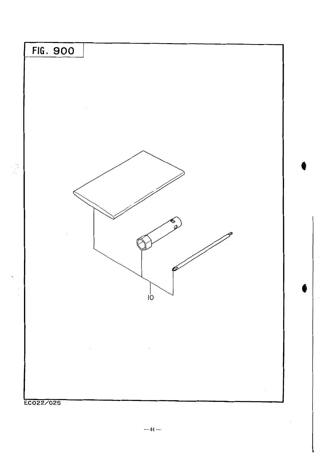![](_page_45_Figure_0.jpeg)

EC022/025

 $\frac{1}{\sqrt{2}}$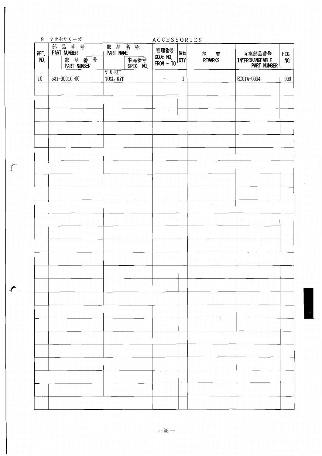| 9 |  |  |  |  |  | アクセサリーズ |
|---|--|--|--|--|--|---------|
|---|--|--|--|--|--|---------|

 $\langle \hat{p}^{\prime} \rangle$ 

 $\sqrt{2}$ 

### **ACCESSORIES**

| REF. | 部品番号<br><b>PART NUMBER</b> | 部品名称<br>PART NAME   | 管理番号                  | 個数           | 摘<br>要         | 互换部品番号                         | FIG. |
|------|----------------------------|---------------------|-----------------------|--------------|----------------|--------------------------------|------|
| NO.  | 部品番号<br>PART NUMBER        | 製品番号<br>SPEC. NO.   | CODE NO.<br>FROM - TO | QTY          | <b>REMARKS</b> | INTERCHANGEABLE<br>PART NUMBER | NO.  |
| 10   | $501 - 90010 - 00$         | ツール KIT<br>TOOL KIT | -                     | $\mathbf{1}$ |                | EC01A-0904                     | 900  |
|      |                            |                     |                       |              |                |                                |      |
|      |                            |                     |                       |              |                |                                |      |
|      | ्र                         |                     | $\cdot$               |              |                |                                |      |
|      |                            | $\cdot$             |                       |              |                |                                |      |
|      |                            |                     |                       |              |                |                                |      |
|      |                            |                     |                       |              |                |                                |      |
|      |                            |                     |                       |              |                |                                |      |
|      |                            |                     |                       |              |                |                                |      |
|      |                            |                     |                       |              |                |                                |      |
|      |                            |                     |                       |              | $\mathcal{N}$  |                                |      |
|      |                            |                     |                       |              |                | $\cdot$                        |      |
|      |                            |                     |                       |              |                |                                |      |
|      |                            |                     |                       |              |                |                                |      |
|      |                            |                     |                       |              | $\cdot$        |                                |      |
|      |                            |                     |                       |              |                |                                |      |
|      |                            |                     |                       |              |                | $\cdot$                        |      |
|      |                            |                     | ×,                    |              |                |                                |      |
|      |                            |                     |                       |              |                |                                |      |
|      |                            |                     |                       |              |                |                                |      |
|      |                            |                     |                       |              |                |                                |      |
|      |                            |                     |                       |              |                |                                |      |
|      |                            |                     |                       |              |                |                                |      |
|      |                            |                     |                       |              |                |                                |      |
|      |                            |                     |                       |              |                |                                |      |
|      |                            |                     |                       |              |                |                                |      |
|      |                            |                     |                       |              |                |                                |      |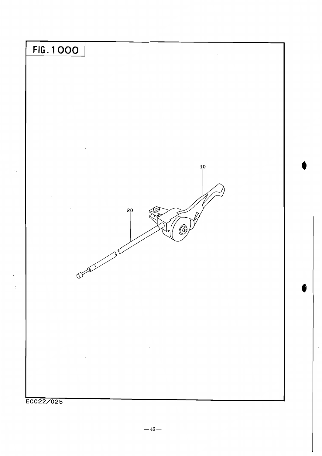![](_page_47_Figure_0.jpeg)

 $-46-$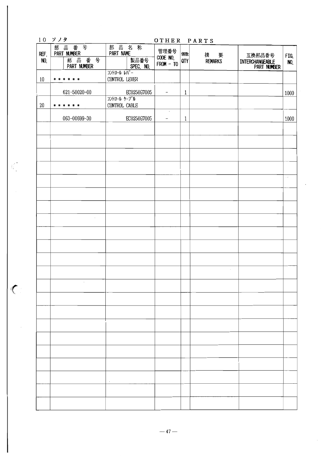$10$   $219$ 

 $\hat{\mathbf{K}}$ 

 $\sqrt{2}$ 

### OTHER PARTS

| REF.   | 部品番号<br><b>PART NUMBER</b> | 部品名称<br>PART NAME            | 管理番号<br>個数                      |              | 摘 要            | 互换部品番号                         | FIG.                |
|--------|----------------------------|------------------------------|---------------------------------|--------------|----------------|--------------------------------|---------------------|
| NO.    | 部品番号<br>PART NUMBER        | 製品番号<br>SPEC NO              | CODE NO.<br>$FROM - TO$         | OTY          | <b>REMARKS</b> | INTERCHANGEABLE<br>PART NUMBER | NO.                 |
| 10     | * * * * * *                | コントロール レバー<br>CONTROL LEVER  |                                 |              |                |                                |                     |
|        | 621-50020-00               | EC0250G7005                  | $\overline{\phantom{a}}$        | $\mathbf 1$  |                |                                | 1000                |
| $20\,$ | * * * * * *                | コントロール ケーブル<br>CONTROL CABLE |                                 |              |                |                                |                     |
|        | 063-00699-30               | EC0250G7005                  | $\epsilon$<br>$\qquad \qquad -$ | $\mathbf{1}$ |                |                                | 1000                |
|        |                            |                              |                                 |              |                |                                |                     |
|        |                            |                              |                                 |              |                |                                |                     |
|        |                            |                              |                                 |              |                |                                |                     |
|        |                            |                              |                                 |              |                |                                |                     |
|        |                            |                              |                                 |              |                |                                | $\sim$ $\epsilon^*$ |
|        |                            |                              |                                 |              |                |                                |                     |
|        |                            |                              |                                 |              |                |                                |                     |
|        | $\cdot$                    |                              |                                 |              |                |                                |                     |
|        |                            |                              |                                 |              |                |                                |                     |
|        |                            |                              |                                 |              |                |                                |                     |
|        |                            |                              |                                 |              |                |                                |                     |
|        |                            |                              |                                 |              | $\cdot$        |                                |                     |
|        | $\sim$                     |                              |                                 |              |                |                                |                     |
|        |                            |                              |                                 |              |                |                                |                     |
|        |                            |                              |                                 |              |                |                                |                     |
|        |                            |                              |                                 |              |                |                                |                     |
|        |                            |                              |                                 |              |                |                                |                     |
|        |                            |                              |                                 |              |                |                                |                     |
|        |                            |                              |                                 |              |                |                                |                     |
|        |                            |                              |                                 |              |                |                                |                     |
|        |                            |                              |                                 |              |                |                                |                     |
|        |                            |                              |                                 |              |                |                                |                     |

 $\sim$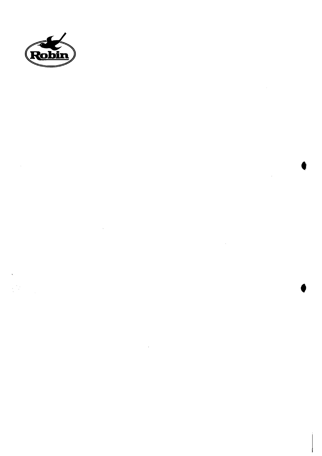![](_page_49_Picture_0.jpeg)

 $\sim$   $\sim$ 

 $\label{eq:2.1} \frac{1}{\sqrt{2}}\int_{\mathbb{R}^3}\frac{1}{\sqrt{2}}\left(\frac{1}{\sqrt{2}}\right)^2\frac{1}{\sqrt{2}}\left(\frac{1}{\sqrt{2}}\right)^2\frac{1}{\sqrt{2}}\left(\frac{1}{\sqrt{2}}\right)^2\frac{1}{\sqrt{2}}\left(\frac{1}{\sqrt{2}}\right)^2.$ 

 $\label{eq:2.1} \frac{1}{\sqrt{2}}\int_{\mathbb{R}^3}\frac{1}{\sqrt{2}}\left(\frac{1}{\sqrt{2}}\right)^2\frac{1}{\sqrt{2}}\left(\frac{1}{\sqrt{2}}\right)^2\frac{1}{\sqrt{2}}\left(\frac{1}{\sqrt{2}}\right)^2\frac{1}{\sqrt{2}}\left(\frac{1}{\sqrt{2}}\right)^2.$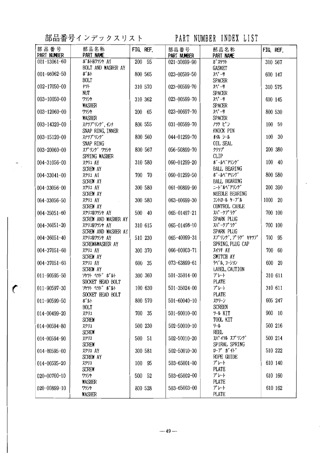### 部品番号インデックスリスト PART NUMBER INDEX LIST

 $\hat{\mathcal{C}}$  .

 $\mathcal{C}$ 

| 部品番号<br>PART NUMBER | 部品名称<br>PART NAME                                      | FIG. REF.     | 部品番号<br><b>PART NUMBER</b> | 部品名称<br>PART NAME                          | FIG. REF.   |
|---------------------|--------------------------------------------------------|---------------|----------------------------|--------------------------------------------|-------------|
| $001 - 13061 - 60$  | <b>ボルト&amp;ワツシヤ AY</b><br><b>BOLT AND WASHER AY</b>    | 200 55        | $021 - 30699 - 90$         | がスケツト<br><b>GASKET</b>                     | 310 567     |
| $001 - 66062 - 50$  | ポルト                                                    | 800 565       | 023-00599-50               | スペ <sup>o</sup> ーサ                         | 600 147     |
| $002 - 17050 - 00$  | <b>BOLT</b><br>ナツト                                     | 310 570       | 023-00599-70               | <b>SPACER</b><br>スペ <sup>o</sup> ーサ        | 310 575     |
|                     | <b>NUT</b>                                             |               |                            | <b>SPACER</b>                              |             |
| $003 - 10050 - 00$  | ワツシヤ<br><b>WASHER</b>                                  | 310 362       | 023-00599-70               | ኧላ° <i>−</i> サ<br><b>SPACER</b>            | 600 145     |
| $003 - 12060 - 00$  | ワツシヤ                                                   | 200 65        | 023-00697-70               | スペ <sup>o</sup> ーサ                         | 800 530     |
| $003 - 14320 - 00$  | WASHER<br>スナツフ°リンク゛,インナ                                | 800 555       | $031 - 00599 - 70$         | <b>SPACER</b><br><b>/ツク ピン</b>             | 100<br>50   |
| $003 - 15120 - 00$  | SNAP RING, INNER<br>スナツフ°リンク゛                          | 800 560       | 044-01299-70               | KNOCK PIN<br>オイル シール<br>OIL SEAL           | 100<br>30   |
| $003 - 20060 - 00$  | SNAP RING<br>スプリング ワヅヤ                                 | 800 567       | 056-50899-70               | クリツフ°                                      | 200 380     |
| 004-31056-00        | SPRING WASHER<br>スクリユ AY                               | 310 580       | 060-01299-20               | <b>CLIP</b><br>ホ゛ールヘ゛アリンク゛                 | 100<br>- 40 |
| $004 - 33041 - 00$  | SCREW AY<br>スクリユ AY                                    | 700 70        | 060-01299-50               | <b>BALL BEARING</b><br>ポールヘ゛アリンク゛          | 800 580     |
| $004 - 33056 - 00$  | <b>SCREW AY</b><br>スクリュ AY                             | 300 580       | 061-00899-90               | <b>BALL BEARING</b><br>ニート゛ルヘ゛アリンク゛        | 200 390     |
| 004-33056-50        | SCREW AY<br>スクリュ AY                                    | 300 580       | 063-00699-30               | NEEDLE BEARING<br>コントロール ケーブル              | 1000<br>20  |
| $004 - 35051 - 60$  | <b>SCREW AY</b><br>スクリユ&ワツシヤ AY                        | 500 40        | $065 - 01497 - 21$         | CONTROL CABLE<br>スパークフ°ラク゛                 | 700 100     |
| $004 - 36051 - 20$  | SCREW AND WASHER AY<br>スクリユ&ワツシヤ AY                    | 310 615       | $065 - 01498 - 10$         | SPARK PLUG<br>スパークフ°ラク゛<br>SPARK PLUG      | 700 100     |
| $004 - 36051 - 40$  | SCREW AND WASHER AY<br>スクリユ&ワツシヤ AY<br>SCREW&WASHER AY | 510 230       | 065-40099-31               | 77° リンク", 7° ラク" キヤツフ°<br>SPRING, PLUG CAP | 700<br>95   |
| $004 - 37051 - 60$  | スクリユ AY<br>SCREW AY                                    | 300 370       | 066-00003-71               | <b>7イツチ AY</b><br>SWITCH AY                | 700<br>60   |
| $004 - 37051 - 60$  | スクリユ AY<br><b>SCREW AY</b>                             | 600 35        | 073-63899-61               | ラヘ゛ル,コーシヨン<br>LABEL, CAUTION               | 600<br>20   |
| $011 - 90595 - 50$  | ソケツト ヘツト゛ ボルト<br>SOCKET HEAD BOLT                      | 300 360       | $501 - 35014 - 00$         | プレート<br><b>PLATE</b>                       | 310 611     |
| $011 - 90597 - 30$  | ソケツト ヘツト゛ ボルト                                          | 100 630       | $501 - 35024 - 00$         | プレト<br><b>PLATE</b>                        | 310 611     |
| 011-90599-50        | SOCKET HEAD BOLT<br>がルト<br><b>BOLT</b>                 | 800 570       | $501 - 60040 - 10$         | スクリーン<br><b>SCREEN</b>                     | 605 247     |
| $014 - 00499 - 20$  | スクリユ<br><b>SCREW</b>                                   | 700 35        | $501 - 90010 - 00$         | ツール KIT<br>TOOL KIT                        | 900 10      |
| 014-00594-80        | スクリユ<br><b>SCREW</b>                                   | 500 230       | $502 - 50010 - 10$         | リール<br><b>REEL</b>                         | 500 216     |
| 014-00594-90        | スクリユ<br><b>SCREW</b>                                   | 500 51        | 502-50010-20               | スパイラル スプリング<br>SPIRAL SPRING               | 500 214     |
| 014-00595-00        | スクリユ AY<br><b>SCREW AY</b>                             | 300 581       | 502-50010-30               | ロープ ガイド<br>ROPE GUIDE                      | 510 222     |
| 014-00595-20        | スクリユ<br><b>SCREW</b>                                   | $100\,$<br>95 | 503-65001-00               | プレート<br><b>PLATE</b>                       | 610 140     |
| $020 - 00700 - 10$  | ワツシヤ<br>WASHER                                         | 500 52        | 503-65002-00               | プレート<br><b>PLATE</b>                       | 610 160     |
| $020 - 00899 - 10$  | ワツシヤ<br>WASHER                                         | 800 528       | 503-65003-00               | プレート<br><b>PLATE</b>                       | 610 162     |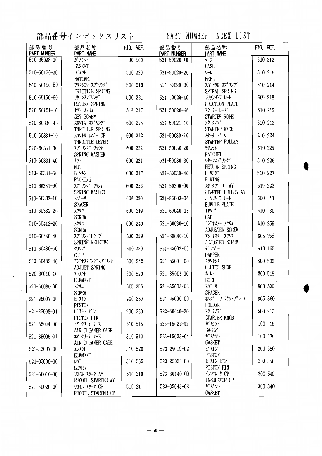$\frac{1}{\sqrt{2\pi}}\frac{1}{\sqrt{2\pi}}\frac{d\omega}{d\omega}$ 

 $\sim$ 

 $\label{eq:1} \frac{\partial \mathcal{L}_{\mathcal{L}}}{\partial \mathcal{L}_{\mathcal{L}}^2}$ 

## 部品番号インデックスリスト PART NUMBER INDEX LIST

| 部品番号<br>PART NUMBER | 部品名称<br>PART NAME                           | FIG. REF. | 部品番号<br><b>PART NUMBER</b> | 部品名称<br>PART NAME                             | FIG. REF. |
|---------------------|---------------------------------------------|-----------|----------------------------|-----------------------------------------------|-----------|
| 510-35028-00        | がスケツト                                       | 300 560   | $521 - 50020 - 10$         | ケース<br>CASE                                   | 510 212   |
| 510-50150-20        | GASKET<br>所理                                | 500 220   | 521-50020-20               | リール                                           | 510 216   |
| 510-50150-50        | RATCHET<br>フリクシヨン スプリング<br>FRICTION SPRING  | 500 219   | 521-50020-30               | <b>REEL</b><br>スパ イラル スプ リング<br>SPIRAL SPRING | 510 214   |
| 510-50150-60        | リターンスプリング<br><b>RETURN SPRING</b>           | 500 221   | 521-50020-40               | <b>アリクシヨンプ レート</b><br>FRICTION PLATE          | 500 218   |
| $510 - 50151 - 10$  | セツト スクリユ<br><b>SET SCREW</b>                | 510 217   | 521-50020-60               | スターター ロープ<br>STARTER ROPE                     | 510 215   |
| 510-60330-40        | スロツトル スフ°リンク゛<br>THROTTLE SPRING            | 600 228   | $521 - 50021 - 10$         | スタータノブ<br>STARTER KNOB                        | 510 213   |
| $510 - 60331 - 10$  | スロツトル レハ゛ー CP<br>THROTTLE LEVER             | 600 212   | $521 - 50030 - 10$         | スタータ フ°ーリ<br>STARTER PULLEY                   | 510 224   |
| $510 - 60331 - 30$  | スフ <sup>。</sup> リンク゛ ワツシヤ<br>SPRING WASHER  | 600 222   | 521-50030-20               | 所理<br>RATCHET                                 | 510 225   |
| 510-60331-40        | ナツト<br><b>NUT</b>                           | 600 221   | 521-50030-30               | リターンスプリング<br><b>RETURN SPRING</b>             | 510 226   |
| 510-60331-50        | パツキン<br>PACKING                             | 600 217   | $521 - 50030 - 40$         | E リング<br>E RING                               | 510 227   |
| 510-60331-60        | スプリング ワツンヤ<br>SPRING WASHER                 | 600 223   | 521-50300-00               | スタータフ°ーリー AY<br>STARTER PULLEY AY             | 510 223   |
| 510-60332-10        | $X^{\circ -}$<br><b>SPACER</b>              | 600 220   | 521-55003-00               | バツル プレート<br><b>BUFFLE PLATE</b>               | 13<br>500 |
| 510-60332-20        | スクリユ<br><b>SCREW</b>                        | 600 219   | $521 - 60040 - 03$         | キヤツプ<br>CAP                                   | 610 30    |
| 510-60412-20        | スクリユ<br><b>SCREW</b>                        | 600 240   | $521 - 60080 - 10$         | アジヤスター スクリユ<br>ADJUSTER SCREW                 | 610 259   |
| 510-60480-40        | スフ <sup>。</sup> リンク゛レシーフ゛<br>SPRING RECEIVE | 600 229   | $521 - 60080 - 10$         | アジヤスター スクリユ<br><b>ADJUSTER SCREW</b>          | 605 355   |
| 510-60480-50        | クリップ <sup>。</sup><br>CLIP                   | 600 230   | 521-65002-00               | ダ゙`ンパー<br><b>DAMPER</b>                       | 610 165   |
| 510-60482-40        | アジヤステイング スプリング<br>ADJUST SPRING             | 600 242   | 521-85001-00               | クラツチシュー<br><b>CLUTCH SHOE</b>                 | 800 502   |
| $520 - 30040 - 10$  | エレメント<br><b>ELEMENT</b>                     | 300 520   | 521-85002-00               | ボルト<br><b>BOLT</b>                            | 800 515   |
| $520 - 60080 - 30$  | スクリユ<br><b>SCREW</b>                        | 605 256   | 521-85003-00               | $70^\circ - 7$<br><b>SPACER</b>               | 800 530   |
| $521 - 25007 - 00$  | ピストン<br>PISTON                              | 200 360   | 521-95000-00               | ホルダー, ブラケツトプレート<br><b>HOLDER</b>              | 605 360   |
| $521 - 25008 - 01$  | ピストン ピン<br>PISTON PIN                       | 200 350   | 522-50040-20               | スタータノブ<br>STARTER KNOB                        | 500 213   |
| 521-35004-00        | エア クリーナ ケース<br>AIR CLEANER CASE             | 310 515   | 523-15022-02               | がスケツト<br>GASKET                               | 100 15    |
| 521-35005-01        | エア クリーナ ケース<br>AIR CLEANER CASE             | 310 510   | 523-15023-04               | <b>ガスケツト</b><br>GASKET                        | 100 170   |
| 521-35007-00        | エレメント<br><b>ELEMENT</b>                     | 310 520   | 523-25019-02               | ピストン<br>PISTON                                | 200 360   |
| 521-35009-00        | いい しゅうしゅう<br>LEVER                          | 310 565   | 523-25026-00               | ピストン ピン<br>PISTON PIN                         | 200 350   |
| $521 - 50010 - 00$  | リコイル スタータ AY<br>RECOIL STARTER AY           | 510 210   | $523 - 30140 - 00$         | インシュレータ CP<br>INSULATOR CP                    | 300 540   |
| 521-50020-00        | リコイル スタータ CP<br>RECOIL STARTER CP           | 510 211   | 523-35043-02               | がスケツト<br>GASKET                               | 300 340   |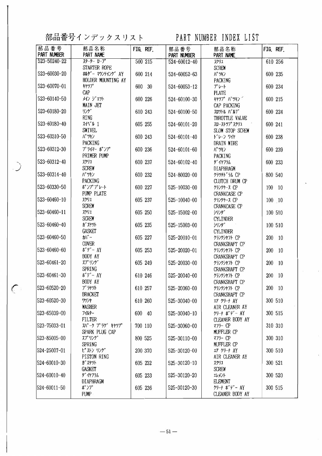部品番号インデックスリスト PART NUMBER INDEX LIST

 $\sum$ 

 $\subset$ 

| 部品番号<br><b>PART NUMBER</b> | 部品名称<br>PART NAME                                                       | FIG. REF. | 部品番号<br><b>PART NUMBER</b> | 部品名称<br>PART NAME                               | FIG. REF. |
|----------------------------|-------------------------------------------------------------------------|-----------|----------------------------|-------------------------------------------------|-----------|
| $523 - 50240 - 22$         | $79 - 9 - 17$ °<br>STARTER ROPE                                         | 500 215   | $524 - 60012 - 40$         | スクリユ<br><b>SCREW</b>                            | 610 256   |
| 523-60030-20               | ホルダー マウンティング AY                                                         | 600 214   | 524-60052-63               | ハ°ツキン                                           | 600 235   |
| $523 - 60070 - 01$         | HOLDER MOUNTING AY<br>キヤツフ°<br>CAP                                      | 600 30    | $524 - 60053 - 12$         | PACKING<br>プレート<br><b>PLATE</b>                 | 600 234   |
| 523-60140-50               | メイン ジェット<br>MAIN JET                                                    | 600 226   | 524-60100-30               | キヤツプ パツキン <sup>*</sup><br>CAP PACKING           | 600 215   |
| 523-60180-20               | リンク゛<br>RING                                                            | 610 243   | 524-60100-50               | スロツトル ハ゛ルフ゛<br>THROTTLE VALVE                   | 600 224   |
| $523 - 60180 - 40$         | スイヘ゛ル 1<br>SWIVEL                                                       | 605 255   | $524 - 60101 - 20$         | スローストツフ° スクリュ<br>SLOW STOP SCREW                | 600 241   |
| 523-60310-50               | <b>パツキン</b><br>PACKING                                                  | 600 243   | $524 - 60101 - 40$         | ドレーン ワイヤ<br>DRAIN WIRE                          | 600 238   |
| 523-60312-30               | プライマー ポンプ                                                               | 600 236   | $524 - 60101 - 60$         | パッキン                                            | 600 239   |
| $523 - 60312 - 40$         | PRIMER PUMP<br>スクリュ                                                     | 600 237   | $524 - 60102 - 40$         | PACKING<br>ダイヤフラム                               | 600 233   |
| $523 - 60314 - 40$         | <b>SCREW</b><br>パッキン<br>PACKING                                         | 600 232   | $524 - 80020 - 00$         | <b>DIAPHRAGM</b><br>クラツチト <sup>・</sup> ラム CP    | 800 540   |
| 523-60330-50               | ポンプ プレート<br>PUMP PLATE                                                  | 600 227   | $525 - 10030 - 00$         | CLUTCH DRUM CP<br>クランクケース CP                    | 100<br>10 |
| $523 - 60460 - 10$         | スクリユ<br><b>SCREW</b>                                                    | 605 237   | $525 - 10040 - 00$         | CRANKCASE CP<br>クランクケース CP                      | 100 10    |
| 523-60460-11               | スクリユ<br><b>SCREW</b>                                                    | 605 250   | 525-15002-00               | <b>CRANKCASE CP</b><br>シリンタ゛<br><b>CYLINDER</b> | 100 510   |
| $523 - 60460 - 40$         | がスケツト<br>GASKET                                                         | 605 235   | 525-15003-00               | シリンタ゛<br><b>CYLINDER</b>                        | 100 510   |
| 523-60460-50               | 加゛ー<br><b>COVER</b>                                                     | 605 227   | 525-20010-01               | クランクシヤフト CP<br>CRANKSHAFT CP                    | 200<br>10 |
| 523-60460-60               | ボデー AY<br>BODY AY                                                       | 605 253   | $525 - 20020 - 01$         | クランクシャフト CP<br>CRANKSHAFT CP                    | 200<br>10 |
| $523 - 60461 - 20$         | スフ゜リンク゛<br>SPRING                                                       | 605 249   | 525-20030-00               | クランクシヤフト CP<br>CRANKSHAFT CP                    | 200<br>10 |
| $523 - 60461 - 30$         | ボデー AY<br>BODY AY                                                       | 610 246   | $525 - 20040 - 00$         | クランクシヤフト CP<br><b>CRANKSHAFT CP</b>             | 200<br>10 |
| 523-60520-20               | ブラケツト<br><b>BRACKET</b>                                                 | 610 257   | 525-20060-00               | クランクシャフト CP<br>CRANKSHAFT CP                    | 200 10    |
| 523-60520-30               | ワツシヤ<br>WASHER                                                          | 610 260   | $525 - 30040 - 00$         | エア クリーナ AY<br>AIR CLEANER AY                    | 300 510   |
| 523-65039-00               | フイルター<br><b>FILTER</b>                                                  | 600 40    | $525 - 30040 - 10$         | クリーナ ボデー AY<br>CLEANER BODY AY                  | 300 515   |
| 523-75033-01               | $UV^{\circ}-2$ $7^{\circ}52^{\circ}$ $\pm 72^{\circ}$<br>SPARK PLUG CAP | 700 110   | 525-30060-00               | 775- CP<br><b>MUFFLER CP</b>                    | 310 310   |
| 523-85005-00               | スプリング゛<br>SPRING                                                        | 800 525   | 525-30110-00               | 775- CP<br>MUFFLER CP                           | 300 310   |
| 524-25007-01               | ピストン リンク゛<br>PISTON RING                                                | 200 370   | $525 - 30120 - 00$         | エア クリーナ AY<br>AIR CLEANER AY                    | 300 510   |
| 524-60010-30               | がスケツト<br>GASKET                                                         | 605 232   | $525 - 30120 - 10$         | スクリユ<br><b>SCREW</b>                            | 300 521   |
| 524-60010-40               | ダイヤフラム<br><b>DIAPHRAGM</b>                                              | 605 233   | 525-30120-20               | エレメント<br><b>ELEMENT</b>                         | 300 520   |
| 524-60011-50               | ポンプ<br>PUMP -                                                           | 605 236   | 525-30120-30               | クリーナ ボデ゛ー AY<br><b>CLEANER BODY AY</b>          | 300 515   |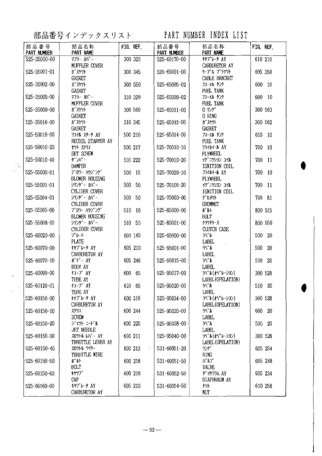$\frac{1}{\sqrt{2}}$ 

## 部品番号インデックスリスト PART NUMBER INDEX LIST

| 部品番号<br>PART NUMBER | 部品名称<br>PART NAME                               | FIG. REF. | 部品番号<br><b>PART NUMBER</b> | 部品名称<br>PART NAME                               | FIG. REF. |
|---------------------|-------------------------------------------------|-----------|----------------------------|-------------------------------------------------|-----------|
| 525-35000-00        | マフラー カバー<br>MUFFLER COVER                       | 300 320   | 525-60170-00               | キヤブレータ AY<br>CARBURETOR AY                      | 610 210   |
| $525 - 35001 - 01$  | <b>ガスケツト</b><br>GASKET                          | 300 345   | 525-65001-00               | ケーブル ブラケツト<br>CABLE BRACKET                     | 605 350   |
| 525-35002-00        | <b>ガスケツト</b><br><b>GASKET</b>                   | 300 550   | 525-65005-02               | フューエル タンク                                       | 600<br>10 |
| 525-35005-00        | マフラー カバー                                        | 310 320   | 525-65009-02               | FUEL TANK<br>フューエル タンク                          | 600<br>10 |
| 525-35009-00        | MUFFLER COVER<br>ゕ゛スケソト                         | 300 560   | $525 - 65011 - 00$         | FUEL TANK<br>0 リンク゛                             | 300 563   |
| 525-35016-00        | <b>GASKET</b><br><b>ガスケツト</b>                   | 310 345   | 525-65012-00               | O RING<br>が スケツト                                | 300 562   |
| 525-50010-00        | GASKET<br>リコイル スタータ AY                          | 500 210   | 525-65014-00               | GASKET<br>フューエル タンク                             | 610<br>10 |
| 525-50010-20        | RECOIL STARTER AY<br>セツト スクリユ                   | 500 217   | 525-70010-10               | FUEL TANK<br>フライホイール AY                         | 700<br>10 |
| 525-50010-40        | SET SCREW<br>ダ゙ンパー<br><b>DAMPER</b>             | 500 222   | 525-70010-20               | <b>FLYWHEEL</b><br>イグ ニヅヨン コイル<br>IGNITION COIL | 700<br>11 |
| 525-55000-01        | ブロワー ハウジング<br><b>BLOWER HOUSING</b>             | 500<br>10 | $525 - 70020 - 10$         | フライホイール AY<br><b>FLYWHEEL</b>                   | 700<br>10 |
| $525 - 55001 - 01$  | シリンダ゛ー カバー<br><b>CYLIDER COVER</b>              | 500 50    | 525-70100-20               | イグ ニリシヨン コイル<br>IGNITION COIL                   | 700<br>11 |
| 525-55004-01        | シリンタ゛ー カバー<br><b>CYLIDER COVER</b>              | 500 50    | 525-75003-00               | グロメツト<br><b>GROMMET</b>                         | 700 81    |
| 525-55005-00        | ブロワー ハウジング<br><b>BLOWER HOUSING</b>             | 510 10    | 525-85000-00               | ポルト<br><b>BOLT</b>                              | 800 515   |
| 525-55008-00        | シリンタ゛ー カバー<br><b>CYLIDER COVER</b>              | 510 50    | 525-85001-00               | クラツチケース<br>CLUTCH CASE                          | 800 550   |
| 525-60020-00        | プレート<br><b>PLATE</b>                            | 600 140   | 525-95000-00               | ラベル<br>LABEL                                    | 500<br>20 |
| 525-60070-00        | キヤブレータ AY<br>CARBURETOR AY                      | 605 210   | 525-95001-00               | ラベル<br>LABEL                                    | 500<br>20 |
| $525 - 60070 - 10$  | ボデー AY<br>BODY AY                               | 605 246   | 525-95015-00               | ラベル<br>LABEL                                    | 510<br>20 |
| 525-60090-00        | $f1 - 7$ AY<br>TUBE AY                          | 600<br>65 | 525-95017-00               | ラヘ゛ル(オヘ°レーシヨン)<br>LABEL (OPELATION)             | 300 528   |
| 525-60120-01        | $f2 - 7$ AY<br>TUBE AY                          | 610 65    | 525-95020-00               | ラベル<br>LABEL                                    | 510 20    |
| 525-60150-00        | キヤブレータ AY<br>CARBURETOR AY                      | 600 210   | 525-95034-00               | ラベル(オペレーシヨン)<br>LABEL (OPELATION)               | 300 528   |
| $525 - 60150 - 10$  | スクリユ<br><b>SCREW</b>                            | 600 244   | 525-95035-00               | ラヘ゛ル<br><b>LABEL</b>                            | 600 20    |
| 525-60150-20        | ジェット ニト゛ル<br>JET NEEDLE                         | 600 225   | 525-95038-00               | ラヘ゛ル<br>LABEL                                   | 510 20    |
| 525-60150-30        | スロツトル レハ <sup>*</sup> - AY<br>THROTTLE LEVER AY | 600 211   | 525-95040-00               | ラベル(オペレーシヨン)<br>LABEL (OPELATION)               | 300 528   |
| $525 - 60150 - 40$  | スロツトル ワイヤー<br>THROTTLE WIRE                     | 600 213   | $531 - 60051 - 20$         | リンク゛<br>RING                                    | 605 254   |
| 525-60150-50        | ポルト<br><b>BOLT</b>                              | 600 218   | 531-60051-50               | バルブ<br>VALVE                                    | 605 248   |
| 525-60150-60        | キヤツフ°<br>CAP                                    | 600 216   | 531-60052-50               | ダイヤフラム AY<br>DIAPHRAGM AY                       | 605 234   |
| 525-60160-00        | キャプレータ AY<br>CARBURETOR AY                      | 605 210   | 531-60054-50               | ナツト<br>NUT                                      | 610 258   |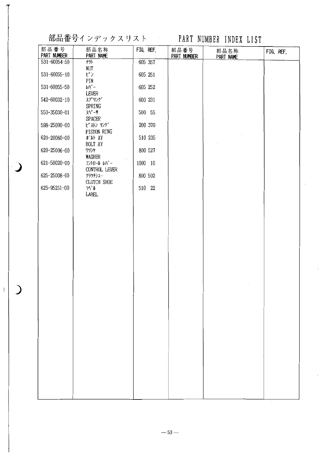部品番号インデックスリスト PART NUMBER INDEX LIST

 $\lambda$ 

 $\sum$ 

 $\rightarrow$ 

| 部品番号<br>PART NUMBER | 部品名称<br>PART NAME              | FIG. REF. | 部品番号<br><b>PART NUMBER</b> | 部品名称<br><b>PART NAME</b> | FIG. REF. |
|---------------------|--------------------------------|-----------|----------------------------|--------------------------|-----------|
| 531-60054-50        | 州                              | 605 357   |                            |                          |           |
| 531-60055-10        | NUT<br>ピン<br>PIN               | 605 251   |                            |                          |           |
| 531-60055-50        | いい -<br>LEVER                  | 605 252   |                            |                          |           |
| 542-60032-10        | スフ <sup>o</sup> リンク゛<br>SPRING | 600 231   |                            |                          |           |
| 550-35030-01        | 7^°−サ<br><b>SPACER</b>         | 500 55    |                            |                          |           |
| 598-25000-00        | ピストン リング<br>PISTON RING        | 200 370   |                            |                          |           |
| 620-20060-00        | ボル AY<br><b>BOLT AY</b>        | 510 235   |                            |                          |           |
| 620-25006-00        | ワツシヤ<br><b>WASHER</b>          | 800 527   |                            |                          |           |
| 621-50020-00        | コントロール レバー<br>CONTROL LEVER    | 1000 10   |                            |                          |           |
| 625-25008-00        | クラツチシュー<br><b>CLUTCH SHOE</b>  | 800 502   |                            |                          |           |
| 625-95231-00        | ラベル<br>LABEL                   | 510 22    |                            |                          |           |
|                     |                                |           |                            |                          |           |
|                     |                                |           |                            |                          |           |
|                     |                                |           |                            |                          |           |
|                     |                                |           |                            |                          |           |
|                     |                                |           |                            |                          |           |
|                     |                                |           |                            |                          |           |
|                     |                                |           |                            |                          |           |
|                     |                                |           |                            |                          |           |
|                     |                                |           |                            |                          |           |
|                     |                                |           |                            |                          |           |
|                     |                                |           |                            |                          |           |
|                     |                                |           |                            |                          |           |
|                     |                                |           |                            |                          |           |
|                     |                                |           |                            |                          |           |
|                     |                                |           |                            |                          |           |